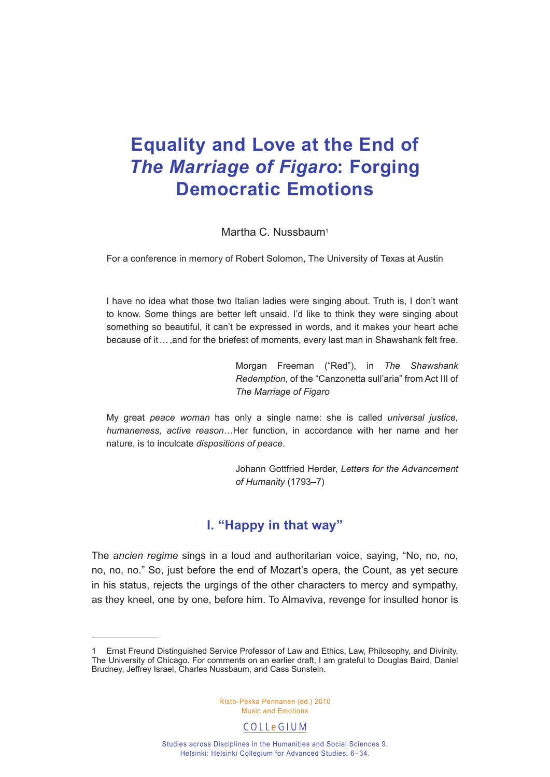# **Equality and Love at the End of**  *The Marriage of Figaro***: Forging Democratic Emotions**

Martha C. Nussbaum<sup>1</sup>

For a conference in memory of Robert Solomon, The University of Texas at Austin

I have no idea what those two Italian ladies were singing about. Truth is, I don't want to know. Some things are better left unsaid. I'd like to think they were singing about something so beautiful, it can't be expressed in words, and it makes your heart ache because of it…,and for the briefest of moments, every last man in Shawshank felt free.

> Morgan Freeman ("Red"), in *The Shawshank Redemption*, of the "Canzonetta sull'aria" from Act III of *The Marriage of Figaro*

My great *peace woman* has only a single name: she is called *universal justice, humaneness, active reason*…Her function, in accordance with her name and her nature, is to inculcate *dispositions of peace*.

> Johann Gottfried Herder, *Letters for the Advancement of Humanity* (1793–7)

### **I. "Happy in that way"**

The *ancien regime* sings in a loud and authoritarian voice, saying, "No, no, no, no, no, no." So, just before the end of Mozart's opera, the Count, as yet secure in his status, rejects the urgings of the other characters to mercy and sympathy, as they kneel, one by one, before him. To Almaviva, revenge for insulted honor is

Risto-Pekka Pennanen (ed.) 2010 Music and Emotions

COLLeGIUM

<sup>1</sup> Ernst Freund Distinguished Service Professor of Law and Ethics, Law, Philosophy, and Divinity, The University of Chicago. For comments on an earlier draft, I am grateful to Douglas Baird, Daniel Brudney, Jeffrey Israel, Charles Nussbaum, and Cass Sunstein.

Studies across Disciplines in the Humanities and Social Sciences 9. Helsinki: Helsinki Collegium for Advanced Studies. 6–34.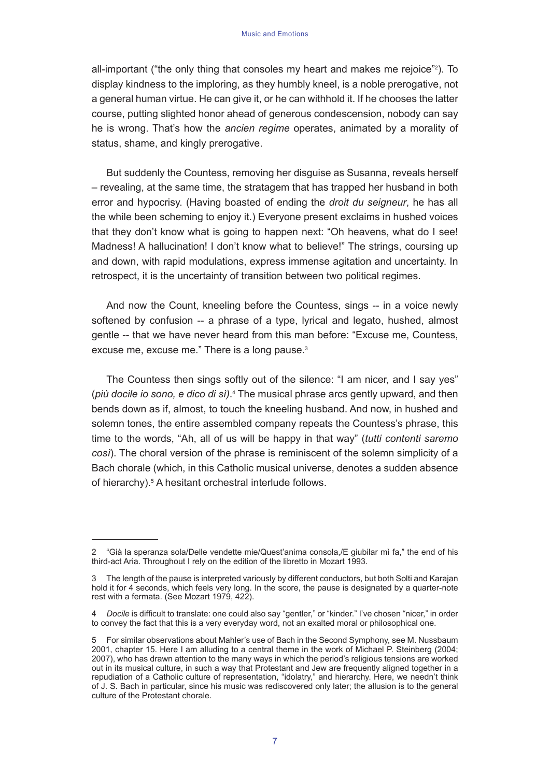all-important ("the only thing that consoles my heart and makes me rejoice"2 ). To display kindness to the imploring, as they humbly kneel, is a noble prerogative, not a general human virtue. He can give it, or he can withhold it. If he chooses the latter course, putting slighted honor ahead of generous condescension, nobody can say he is wrong. That's how the *ancien regime* operates, animated by a morality of status, shame, and kingly prerogative.

But suddenly the Countess, removing her disguise as Susanna, reveals herself – revealing, at the same time, the stratagem that has trapped her husband in both error and hypocrisy. (Having boasted of ending the *droit du seigneur*, he has all the while been scheming to enjoy it.) Everyone present exclaims in hushed voices that they don't know what is going to happen next: "Oh heavens, what do I see! Madness! A hallucination! I don't know what to believe!" The strings, coursing up and down, with rapid modulations, express immense agitation and uncertainty. In retrospect, it is the uncertainty of transition between two political regimes.

And now the Count, kneeling before the Countess, sings -- in a voice newly softened by confusion -- a phrase of a type, lyrical and legato, hushed, almost gentle -- that we have never heard from this man before: "Excuse me, Countess, excuse me, excuse me." There is a long pause.<sup>3</sup>

The Countess then sings softly out of the silence: "I am nicer, and I say yes" (*più docile io sono, e dico di sì)*. 4 The musical phrase arcs gently upward, and then bends down as if, almost, to touch the kneeling husband. And now, in hushed and solemn tones, the entire assembled company repeats the Countess's phrase, this time to the words, "Ah, all of us will be happy in that way" (*tutti contenti saremo così*). The choral version of the phrase is reminiscent of the solemn simplicity of a Bach chorale (which, in this Catholic musical universe, denotes a sudden absence of hierarchy).<sup>5</sup> A hesitant orchestral interlude follows.

<sup>2</sup> "Già la speranza sola/Delle vendette mie/Quest'anima consola,/E giubilar mì fa," the end of his third-act Aria. Throughout I rely on the edition of the libretto in Mozart 1993.

The length of the pause is interpreted variously by different conductors, but both Solti and Karajan hold it for 4 seconds, which feels very long. In the score, the pause is designated by a quarter-note rest with a fermata. (See Mozart 1979, 422).

<sup>4</sup> *Docile* is difficult to translate: one could also say "gentler," or "kinder." I've chosen "nicer," in order to convey the fact that this is a very everyday word, not an exalted moral or philosophical one.

<sup>5</sup> For similar observations about Mahler's use of Bach in the Second Symphony, see M. Nussbaum 2001, chapter 15. Here I am alluding to a central theme in the work of Michael P. Steinberg (2004; 2007), who has drawn attention to the many ways in which the period's religious tensions are worked out in its musical culture, in such a way that Protestant and Jew are frequently aligned together in a repudiation of a Catholic culture of representation, "idolatry," and hierarchy. Here, we needn't think of J. S. Bach in particular, since his music was rediscovered only later; the allusion is to the general culture of the Protestant chorale.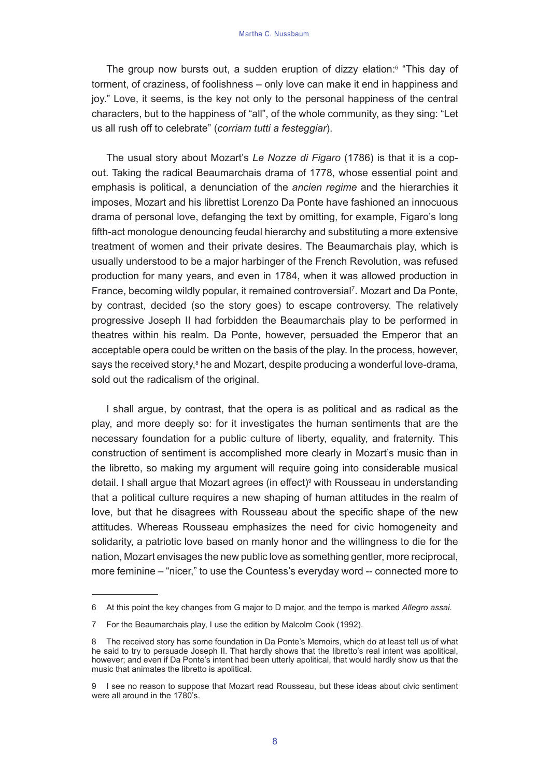The group now bursts out, a sudden eruption of dizzy elation:6 "This day of torment, of craziness, of foolishness – only love can make it end in happiness and joy." Love, it seems, is the key not only to the personal happiness of the central characters, but to the happiness of "all", of the whole community, as they sing: "Let us all rush off to celebrate" (*corriam tutti a festeggiar*).

The usual story about Mozart's *Le Nozze di Figaro* (1786) is that it is a copout. Taking the radical Beaumarchais drama of 1778, whose essential point and emphasis is political, a denunciation of the *ancien regime* and the hierarchies it imposes, Mozart and his librettist Lorenzo Da Ponte have fashioned an innocuous drama of personal love, defanging the text by omitting, for example, Figaro's long fifth-act monologue denouncing feudal hierarchy and substituting a more extensive treatment of women and their private desires. The Beaumarchais play, which is usually understood to be a major harbinger of the French Revolution, was refused production for many years, and even in 1784, when it was allowed production in France, becoming wildly popular, it remained controversial<sup>7</sup>. Mozart and Da Ponte, by contrast, decided (so the story goes) to escape controversy. The relatively progressive Joseph II had forbidden the Beaumarchais play to be performed in theatres within his realm. Da Ponte, however, persuaded the Emperor that an acceptable opera could be written on the basis of the play. In the process, however, says the received story,<sup>8</sup> he and Mozart, despite producing a wonderful love-drama, sold out the radicalism of the original.

I shall argue, by contrast, that the opera is as political and as radical as the play, and more deeply so: for it investigates the human sentiments that are the necessary foundation for a public culture of liberty, equality, and fraternity. This construction of sentiment is accomplished more clearly in Mozart's music than in the libretto, so making my argument will require going into considerable musical detail. I shall argue that Mozart agrees (in effect)<sup>9</sup> with Rousseau in understanding that a political culture requires a new shaping of human attitudes in the realm of love, but that he disagrees with Rousseau about the specific shape of the new attitudes. Whereas Rousseau emphasizes the need for civic homogeneity and solidarity, a patriotic love based on manly honor and the willingness to die for the nation, Mozart envisages the new public love as something gentler, more reciprocal, more feminine – "nicer," to use the Countess's everyday word -- connected more to

<sup>6</sup> At this point the key changes from G major to D major, and the tempo is marked *Allegro assai*.

<sup>7</sup> For the Beaumarchais play, I use the edition by Malcolm Cook (1992).

<sup>8</sup> The received story has some foundation in Da Ponte's Memoirs, which do at least tell us of what he said to try to persuade Joseph II. That hardly shows that the libretto's real intent was apolitical, however; and even if Da Ponte's intent had been utterly apolitical, that would hardly show us that the music that animates the libretto is apolitical.

<sup>9</sup> I see no reason to suppose that Mozart read Rousseau, but these ideas about civic sentiment were all around in the 1780's.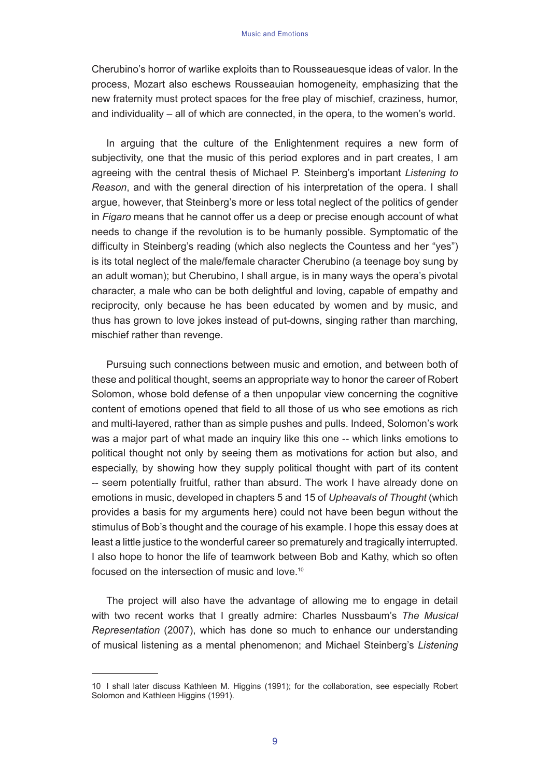Cherubino's horror of warlike exploits than to Rousseauesque ideas of valor. In the process, Mozart also eschews Rousseauian homogeneity, emphasizing that the new fraternity must protect spaces for the free play of mischief, craziness, humor, and individuality – all of which are connected, in the opera, to the women's world.

In arguing that the culture of the Enlightenment requires a new form of subjectivity, one that the music of this period explores and in part creates, I am agreeing with the central thesis of Michael P. Steinberg's important *Listening to Reason*, and with the general direction of his interpretation of the opera. I shall argue, however, that Steinberg's more or less total neglect of the politics of gender in *Figaro* means that he cannot offer us a deep or precise enough account of what needs to change if the revolution is to be humanly possible. Symptomatic of the difficulty in Steinberg's reading (which also neglects the Countess and her "yes") is its total neglect of the male/female character Cherubino (a teenage boy sung by an adult woman); but Cherubino, I shall argue, is in many ways the opera's pivotal character, a male who can be both delightful and loving, capable of empathy and reciprocity, only because he has been educated by women and by music, and thus has grown to love jokes instead of put-downs, singing rather than marching, mischief rather than revenge.

Pursuing such connections between music and emotion, and between both of these and political thought, seems an appropriate way to honor the career of Robert Solomon, whose bold defense of a then unpopular view concerning the cognitive content of emotions opened that field to all those of us who see emotions as rich and multi-layered, rather than as simple pushes and pulls. Indeed, Solomon's work was a major part of what made an inquiry like this one -- which links emotions to political thought not only by seeing them as motivations for action but also, and especially, by showing how they supply political thought with part of its content -- seem potentially fruitful, rather than absurd. The work I have already done on emotions in music, developed in chapters 5 and 15 of *Upheavals of Thought* (which provides a basis for my arguments here) could not have been begun without the stimulus of Bob's thought and the courage of his example. I hope this essay does at least a little justice to the wonderful career so prematurely and tragically interrupted. I also hope to honor the life of teamwork between Bob and Kathy, which so often focused on the intersection of music and love.10

The project will also have the advantage of allowing me to engage in detail with two recent works that I greatly admire: Charles Nussbaum's *The Musical Representation* (2007), which has done so much to enhance our understanding of musical listening as a mental phenomenon; and Michael Steinberg's *Listening* 

<sup>10</sup> I shall later discuss Kathleen M. Higgins (1991); for the collaboration, see especially Robert Solomon and Kathleen Higgins (1991).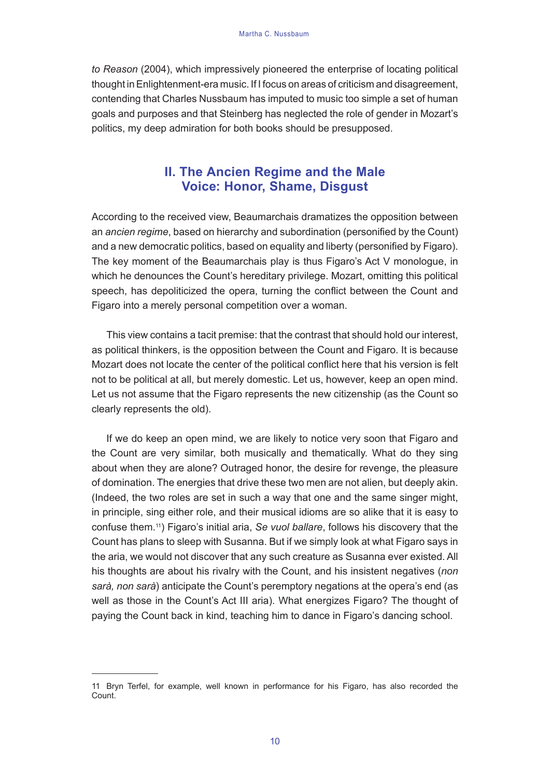*to Reason* (2004), which impressively pioneered the enterprise of locating political thought in Enlightenment-era music. If I focus on areas of criticism and disagreement, contending that Charles Nussbaum has imputed to music too simple a set of human goals and purposes and that Steinberg has neglected the role of gender in Mozart's politics, my deep admiration for both books should be presupposed.

### **II. The Ancien Regime and the Male Voice: Honor, Shame, Disgust**

According to the received view, Beaumarchais dramatizes the opposition between an *ancien regime*, based on hierarchy and subordination (personified by the Count) and a new democratic politics, based on equality and liberty (personified by Figaro). The key moment of the Beaumarchais play is thus Figaro's Act V monologue, in which he denounces the Count's hereditary privilege. Mozart, omitting this political speech, has depoliticized the opera, turning the conflict between the Count and Figaro into a merely personal competition over a woman.

This view contains a tacit premise: that the contrast that should hold our interest, as political thinkers, is the opposition between the Count and Figaro. It is because Mozart does not locate the center of the political conflict here that his version is felt not to be political at all, but merely domestic. Let us, however, keep an open mind. Let us not assume that the Figaro represents the new citizenship (as the Count so clearly represents the old).

If we do keep an open mind, we are likely to notice very soon that Figaro and the Count are very similar, both musically and thematically. What do they sing about when they are alone? Outraged honor, the desire for revenge, the pleasure of domination. The energies that drive these two men are not alien, but deeply akin. (Indeed, the two roles are set in such a way that one and the same singer might, in principle, sing either role, and their musical idioms are so alike that it is easy to confuse them.11) Figaro's initial aria, *Se vuol ballare*, follows his discovery that the Count has plans to sleep with Susanna. But if we simply look at what Figaro says in the aria, we would not discover that any such creature as Susanna ever existed. All his thoughts are about his rivalry with the Count, and his insistent negatives (*non sarà, non sarà*) anticipate the Count's peremptory negations at the opera's end (as well as those in the Count's Act III aria). What energizes Figaro? The thought of paying the Count back in kind, teaching him to dance in Figaro's dancing school.

<sup>11</sup> Bryn Terfel, for example, well known in performance for his Figaro, has also recorded the Count.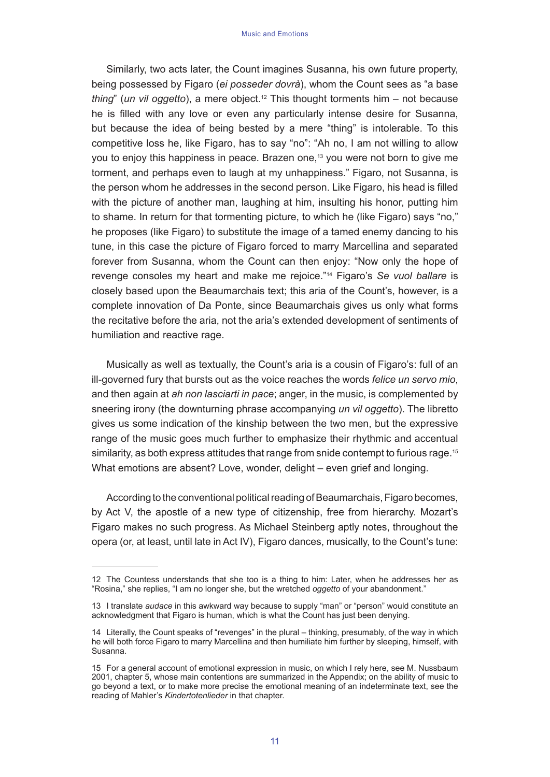Similarly, two acts later, the Count imagines Susanna, his own future property, being possessed by Figaro (*ei posseder dovrà*), whom the Count sees as "a base *thing*" (*un vil oggetto*), a mere object.12 This thought torments him – not because he is filled with any love or even any particularly intense desire for Susanna, but because the idea of being bested by a mere "thing" is intolerable. To this competitive loss he, like Figaro, has to say "no": "Ah no, I am not willing to allow you to enjoy this happiness in peace. Brazen one,13 you were not born to give me torment, and perhaps even to laugh at my unhappiness." Figaro, not Susanna, is the person whom he addresses in the second person. Like Figaro, his head is filled with the picture of another man, laughing at him, insulting his honor, putting him to shame. In return for that tormenting picture, to which he (like Figaro) says "no," he proposes (like Figaro) to substitute the image of a tamed enemy dancing to his tune, in this case the picture of Figaro forced to marry Marcellina and separated forever from Susanna, whom the Count can then enjoy: "Now only the hope of revenge consoles my heart and make me rejoice."14 Figaro's *Se vuol ballare* is closely based upon the Beaumarchais text; this aria of the Count's, however, is a complete innovation of Da Ponte, since Beaumarchais gives us only what forms the recitative before the aria, not the aria's extended development of sentiments of humiliation and reactive rage.

Musically as well as textually, the Count's aria is a cousin of Figaro's: full of an ill-governed fury that bursts out as the voice reaches the words *felice un servo mio*, and then again at *ah non lasciarti in pace*; anger, in the music, is complemented by sneering irony (the downturning phrase accompanying *un vil oggetto*). The libretto gives us some indication of the kinship between the two men, but the expressive range of the music goes much further to emphasize their rhythmic and accentual similarity, as both express attitudes that range from snide contempt to furious rage.15 What emotions are absent? Love, wonder, delight – even grief and longing.

According to the conventional political reading of Beaumarchais, Figaro becomes, by Act V, the apostle of a new type of citizenship, free from hierarchy. Mozart's Figaro makes no such progress. As Michael Steinberg aptly notes, throughout the opera (or, at least, until late in Act IV), Figaro dances, musically, to the Count's tune:

<sup>12</sup> The Countess understands that she too is a thing to him: Later, when he addresses her as "Rosina," she replies, "I am no longer she, but the wretched *oggetto* of your abandonment."

<sup>13</sup> I translate *audace* in this awkward way because to supply "man" or "person" would constitute an acknowledgment that Figaro is human, which is what the Count has just been denying.

<sup>14</sup> Literally, the Count speaks of "revenges" in the plural – thinking, presumably, of the way in which he will both force Figaro to marry Marcellina and then humiliate him further by sleeping, himself, with Susanna.

<sup>15</sup> For a general account of emotional expression in music, on which I rely here, see M. Nussbaum 2001, chapter 5, whose main contentions are summarized in the Appendix; on the ability of music to go beyond a text, or to make more precise the emotional meaning of an indeterminate text, see the reading of Mahler's *Kindertotenlieder* in that chapter.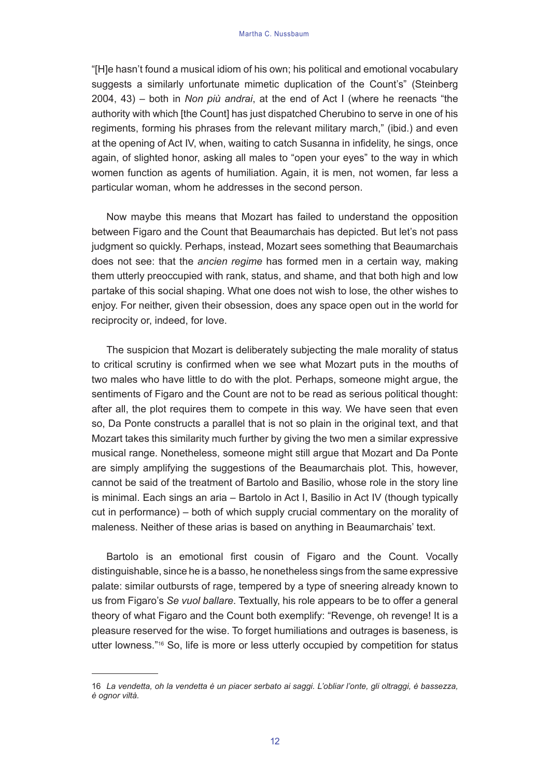"[H]e hasn't found a musical idiom of his own; his political and emotional vocabulary suggests a similarly unfortunate mimetic duplication of the Count's" (Steinberg 2004, 43) – both in *Non più andrai*, at the end of Act I (where he reenacts "the authority with which [the Count] has just dispatched Cherubino to serve in one of his regiments, forming his phrases from the relevant military march," (ibid.) and even at the opening of Act IV, when, waiting to catch Susanna in infidelity, he sings, once again, of slighted honor, asking all males to "open your eyes" to the way in which women function as agents of humiliation. Again, it is men, not women, far less a particular woman, whom he addresses in the second person.

Now maybe this means that Mozart has failed to understand the opposition between Figaro and the Count that Beaumarchais has depicted. But let's not pass judgment so quickly. Perhaps, instead, Mozart sees something that Beaumarchais does not see: that the *ancien regime* has formed men in a certain way, making them utterly preoccupied with rank, status, and shame, and that both high and low partake of this social shaping. What one does not wish to lose, the other wishes to enjoy. For neither, given their obsession, does any space open out in the world for reciprocity or, indeed, for love.

The suspicion that Mozart is deliberately subjecting the male morality of status to critical scrutiny is confirmed when we see what Mozart puts in the mouths of two males who have little to do with the plot. Perhaps, someone might argue, the sentiments of Figaro and the Count are not to be read as serious political thought: after all, the plot requires them to compete in this way. We have seen that even so, Da Ponte constructs a parallel that is not so plain in the original text, and that Mozart takes this similarity much further by giving the two men a similar expressive musical range. Nonetheless, someone might still argue that Mozart and Da Ponte are simply amplifying the suggestions of the Beaumarchais plot. This, however, cannot be said of the treatment of Bartolo and Basilio, whose role in the story line is minimal. Each sings an aria – Bartolo in Act I, Basilio in Act IV (though typically cut in performance) – both of which supply crucial commentary on the morality of maleness. Neither of these arias is based on anything in Beaumarchais' text.

Bartolo is an emotional first cousin of Figaro and the Count. Vocally distinguishable, since he is a basso, he nonetheless sings from the same expressive palate: similar outbursts of rage, tempered by a type of sneering already known to us from Figaro's *Se vuol ballare*. Textually, his role appears to be to offer a general theory of what Figaro and the Count both exemplify: "Revenge, oh revenge! It is a pleasure reserved for the wise. To forget humiliations and outrages is baseness, is utter lowness."16 So, life is more or less utterly occupied by competition for status

<sup>16</sup> *La vendetta, oh la vendetta è un piacer serbato ai saggi. L'obliar l'onte, gli oltraggi, è bassezza, è ognor viltà.*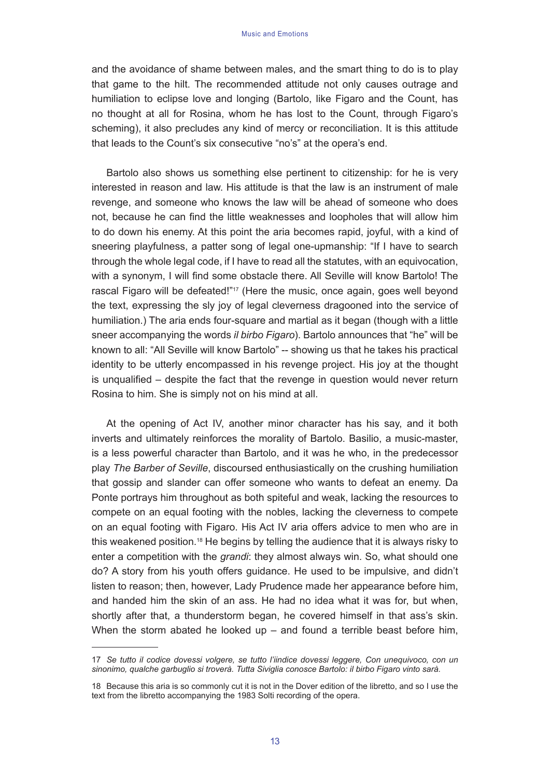and the avoidance of shame between males, and the smart thing to do is to play that game to the hilt. The recommended attitude not only causes outrage and humiliation to eclipse love and longing (Bartolo, like Figaro and the Count, has no thought at all for Rosina, whom he has lost to the Count, through Figaro's scheming), it also precludes any kind of mercy or reconciliation. It is this attitude that leads to the Count's six consecutive "no's" at the opera's end.

Bartolo also shows us something else pertinent to citizenship: for he is very interested in reason and law. His attitude is that the law is an instrument of male revenge, and someone who knows the law will be ahead of someone who does not, because he can find the little weaknesses and loopholes that will allow him to do down his enemy. At this point the aria becomes rapid, joyful, with a kind of sneering playfulness, a patter song of legal one-upmanship: "If I have to search through the whole legal code, if I have to read all the statutes, with an equivocation, with a synonym, I will find some obstacle there. All Seville will know Bartolo! The rascal Figaro will be defeated!"<sup>17</sup> (Here the music, once again, goes well beyond the text, expressing the sly joy of legal cleverness dragooned into the service of humiliation.) The aria ends four-square and martial as it began (though with a little sneer accompanying the words *il birbo Figaro*). Bartolo announces that "he" will be known to all: "All Seville will know Bartolo" -- showing us that he takes his practical identity to be utterly encompassed in his revenge project. His joy at the thought is unqualified – despite the fact that the revenge in question would never return Rosina to him. She is simply not on his mind at all.

At the opening of Act IV, another minor character has his say, and it both inverts and ultimately reinforces the morality of Bartolo. Basilio, a music-master, is a less powerful character than Bartolo, and it was he who, in the predecessor play *The Barber of Seville*, discoursed enthusiastically on the crushing humiliation that gossip and slander can offer someone who wants to defeat an enemy. Da Ponte portrays him throughout as both spiteful and weak, lacking the resources to compete on an equal footing with the nobles, lacking the cleverness to compete on an equal footing with Figaro. His Act IV aria offers advice to men who are in this weakened position.18 He begins by telling the audience that it is always risky to enter a competition with the *grandi*: they almost always win. So, what should one do? A story from his youth offers guidance. He used to be impulsive, and didn't listen to reason; then, however, Lady Prudence made her appearance before him, and handed him the skin of an ass. He had no idea what it was for, but when, shortly after that, a thunderstorm began, he covered himself in that ass's skin. When the storm abated he looked up  $-$  and found a terrible beast before him,

<sup>17</sup> *Se tutto il codice dovessi volgere, se tutto l'iindice dovessi leggere, Con unequivoco, con un sinonimo, qualche garbuglio si troverà. Tutta Siviglia conosce Bartolo: il birbo Figaro vinto sarà.* 

<sup>18</sup> Because this aria is so commonly cut it is not in the Dover edition of the libretto, and so I use the text from the libretto accompanying the 1983 Solti recording of the opera.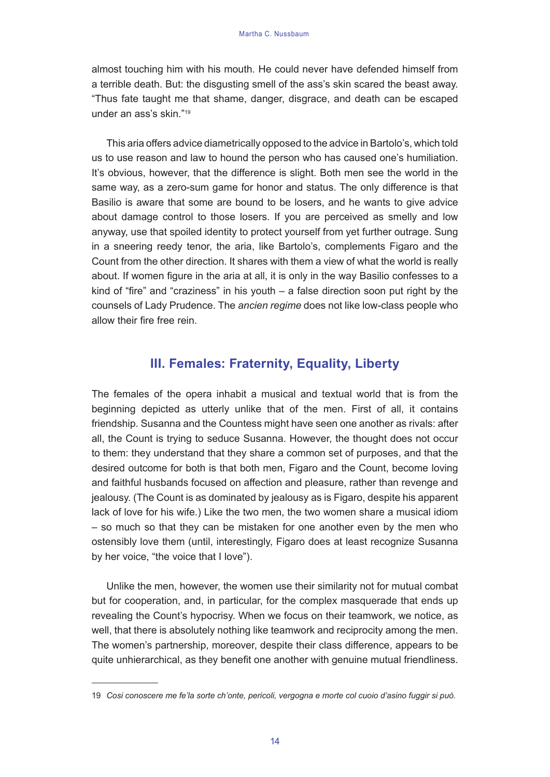almost touching him with his mouth. He could never have defended himself from a terrible death. But: the disgusting smell of the ass's skin scared the beast away. "Thus fate taught me that shame, danger, disgrace, and death can be escaped under an ass's skin."19

This aria offers advice diametrically opposed to the advice in Bartolo's, which told us to use reason and law to hound the person who has caused one's humiliation. It's obvious, however, that the difference is slight. Both men see the world in the same way, as a zero-sum game for honor and status. The only difference is that Basilio is aware that some are bound to be losers, and he wants to give advice about damage control to those losers. If you are perceived as smelly and low anyway, use that spoiled identity to protect yourself from yet further outrage. Sung in a sneering reedy tenor, the aria, like Bartolo's, complements Figaro and the Count from the other direction. It shares with them a view of what the world is really about. If women figure in the aria at all, it is only in the way Basilio confesses to a kind of "fire" and "craziness" in his youth – a false direction soon put right by the counsels of Lady Prudence. The *ancien regime* does not like low-class people who allow their fire free rein.

#### **III. Females: Fraternity, Equality, Liberty**

The females of the opera inhabit a musical and textual world that is from the beginning depicted as utterly unlike that of the men. First of all, it contains friendship. Susanna and the Countess might have seen one another as rivals: after all, the Count is trying to seduce Susanna. However, the thought does not occur to them: they understand that they share a common set of purposes, and that the desired outcome for both is that both men, Figaro and the Count, become loving and faithful husbands focused on affection and pleasure, rather than revenge and jealousy. (The Count is as dominated by jealousy as is Figaro, despite his apparent lack of love for his wife.) Like the two men, the two women share a musical idiom – so much so that they can be mistaken for one another even by the men who ostensibly love them (until, interestingly, Figaro does at least recognize Susanna by her voice, "the voice that I love").

Unlike the men, however, the women use their similarity not for mutual combat but for cooperation, and, in particular, for the complex masquerade that ends up revealing the Count's hypocrisy. When we focus on their teamwork, we notice, as well, that there is absolutely nothing like teamwork and reciprocity among the men. The women's partnership, moreover, despite their class difference, appears to be quite unhierarchical, as they benefit one another with genuine mutual friendliness.

<sup>19</sup> *Cosi conoscere me fe'la sorte ch'onte, pericoli, vergogna e morte col cuoio d'asino fuggir si può.*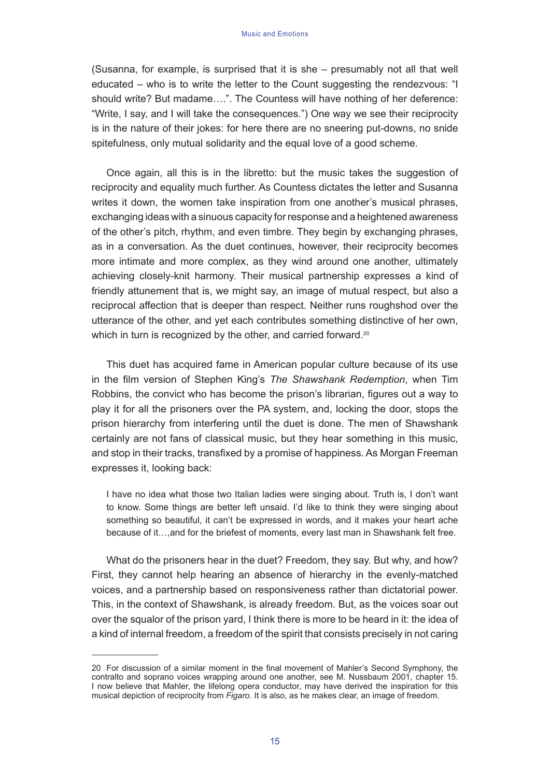(Susanna, for example, is surprised that it is she – presumably not all that well educated – who is to write the letter to the Count suggesting the rendezvous: "I should write? But madame….". The Countess will have nothing of her deference: "Write, I say, and I will take the consequences.") One way we see their reciprocity is in the nature of their jokes: for here there are no sneering put-downs, no snide spitefulness, only mutual solidarity and the equal love of a good scheme.

Once again, all this is in the libretto: but the music takes the suggestion of reciprocity and equality much further. As Countess dictates the letter and Susanna writes it down, the women take inspiration from one another's musical phrases, exchanging ideas with a sinuous capacity for response and a heightened awareness of the other's pitch, rhythm, and even timbre. They begin by exchanging phrases, as in a conversation. As the duet continues, however, their reciprocity becomes more intimate and more complex, as they wind around one another, ultimately achieving closely-knit harmony. Their musical partnership expresses a kind of friendly attunement that is, we might say, an image of mutual respect, but also a reciprocal affection that is deeper than respect. Neither runs roughshod over the utterance of the other, and yet each contributes something distinctive of her own, which in turn is recognized by the other, and carried forward.<sup>20</sup>

This duet has acquired fame in American popular culture because of its use in the film version of Stephen King's *The Shawshank Redemption*, when Tim Robbins, the convict who has become the prison's librarian, figures out a way to play it for all the prisoners over the PA system, and, locking the door, stops the prison hierarchy from interfering until the duet is done. The men of Shawshank certainly are not fans of classical music, but they hear something in this music, and stop in their tracks, transfixed by a promise of happiness. As Morgan Freeman expresses it, looking back:

I have no idea what those two Italian ladies were singing about. Truth is, I don't want to know. Some things are better left unsaid. I'd like to think they were singing about something so beautiful, it can't be expressed in words, and it makes your heart ache because of it…,and for the briefest of moments, every last man in Shawshank felt free.

What do the prisoners hear in the duet? Freedom, they say. But why, and how? First, they cannot help hearing an absence of hierarchy in the evenly-matched voices, and a partnership based on responsiveness rather than dictatorial power. This, in the context of Shawshank, is already freedom. But, as the voices soar out over the squalor of the prison yard, I think there is more to be heard in it: the idea of a kind of internal freedom, a freedom of the spirit that consists precisely in not caring

<sup>20</sup> For discussion of a similar moment in the final movement of Mahler's Second Symphony, the contralto and soprano voices wrapping around one another, see M. Nussbaum 2001, chapter 15. I now believe that Mahler, the lifelong opera conductor, may have derived the inspiration for this musical depiction of reciprocity from *Figaro*. It is also, as he makes clear, an image of freedom.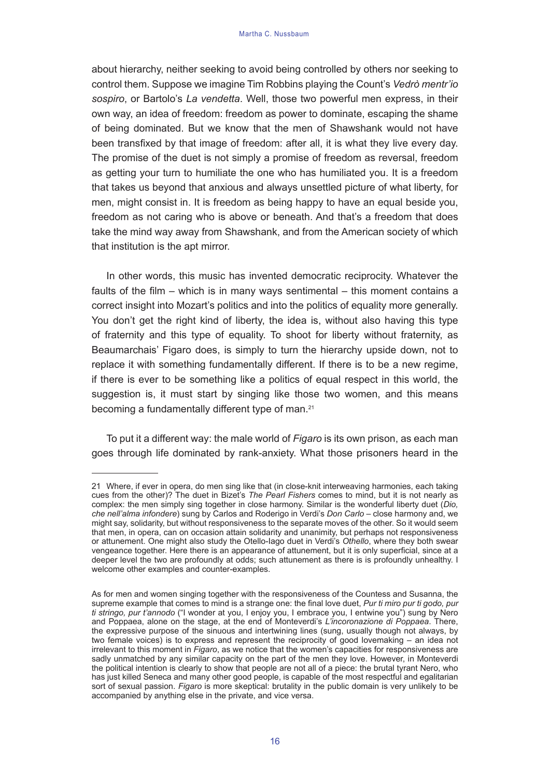about hierarchy, neither seeking to avoid being controlled by others nor seeking to control them. Suppose we imagine Tim Robbins playing the Count's *Vedrò mentr'io sospiro*, or Bartolo's *La vendetta*. Well, those two powerful men express, in their own way, an idea of freedom: freedom as power to dominate, escaping the shame of being dominated. But we know that the men of Shawshank would not have been transfixed by that image of freedom: after all, it is what they live every day. The promise of the duet is not simply a promise of freedom as reversal, freedom as getting your turn to humiliate the one who has humiliated you. It is a freedom that takes us beyond that anxious and always unsettled picture of what liberty, for men, might consist in. It is freedom as being happy to have an equal beside you, freedom as not caring who is above or beneath. And that's a freedom that does take the mind way away from Shawshank, and from the American society of which that institution is the apt mirror.

In other words, this music has invented democratic reciprocity. Whatever the faults of the film – which is in many ways sentimental – this moment contains a correct insight into Mozart's politics and into the politics of equality more generally. You don't get the right kind of liberty, the idea is, without also having this type of fraternity and this type of equality. To shoot for liberty without fraternity, as Beaumarchais' Figaro does, is simply to turn the hierarchy upside down, not to replace it with something fundamentally different. If there is to be a new regime, if there is ever to be something like a politics of equal respect in this world, the suggestion is, it must start by singing like those two women, and this means becoming a fundamentally different type of man.21

To put it a different way: the male world of *Figaro* is its own prison, as each man goes through life dominated by rank-anxiety. What those prisoners heard in the

<sup>21</sup> Where, if ever in opera, do men sing like that (in close-knit interweaving harmonies, each taking cues from the other)? The duet in Bizet's *The Pearl Fishers* comes to mind, but it is not nearly as complex: the men simply sing together in close harmony. Similar is the wonderful liberty duet (*Dio, che nell'alma infondere*) sung by Carlos and Roderigo in Verdi's *Don Carlo* – close harmony and, we might say, solidarity, but without responsiveness to the separate moves of the other. So it would seem that men, in opera, can on occasion attain solidarity and unanimity, but perhaps not responsiveness or attunement. One might also study the Otello-Iago duet in Verdi's *Othello*, where they both swear vengeance together. Here there is an appearance of attunement, but it is only superficial, since at a deeper level the two are profoundly at odds; such attunement as there is is profoundly unhealthy. I welcome other examples and counter-examples.

As for men and women singing together with the responsiveness of the Countess and Susanna, the supreme example that comes to mind is a strange one: the final love duet, *Pur ti miro pur ti godo, pur ti stringo, pur t'annodo* ("I wonder at you, I enjoy you, I embrace you, I entwine you") sung by Nero and Poppaea, alone on the stage, at the end of Monteverdi's *L'incoronazione di Poppaea*. There, the expressive purpose of the sinuous and intertwining lines (sung, usually though not always, by two female voices) is to express and represent the reciprocity of good lovemaking – an idea not irrelevant to this moment in *Figaro*, as we notice that the women's capacities for responsiveness are sadly unmatched by any similar capacity on the part of the men they love. However, in Monteverdi the political intention is clearly to show that people are not all of a piece: the brutal tyrant Nero, who has just killed Seneca and many other good people, is capable of the most respectful and egalitarian sort of sexual passion. *Figaro* is more skeptical: brutality in the public domain is very unlikely to be accompanied by anything else in the private, and vice versa.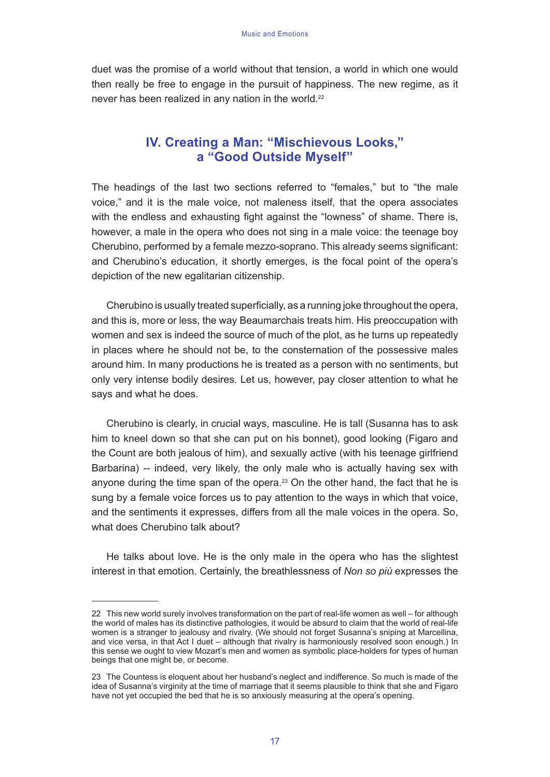duet was the promise of a world without that tension, a world in which one would then really be free to engage in the pursuit of happiness. The new regime, as it never has been realized in any nation in the world.<sup>22</sup>

#### **IV. Creating a Man: "Mischievous Looks," a "Good Outside Myself"**

The headings of the last two sections referred to "females," but to "the male voice," and it is the male voice, not maleness itself, that the opera associates with the endless and exhausting fight against the "lowness" of shame. There is, however, a male in the opera who does not sing in a male voice: the teenage boy Cherubino, performed by a female mezzo-soprano. This already seems significant: and Cherubino's education, it shortly emerges, is the focal point of the opera's depiction of the new egalitarian citizenship.

Cherubino is usually treated superficially, as a running joke throughout the opera, and this is, more or less, the way Beaumarchais treats him. His preoccupation with women and sex is indeed the source of much of the plot, as he turns up repeatedly in places where he should not be, to the consternation of the possessive males around him. In many productions he is treated as a person with no sentiments, but only very intense bodily desires. Let us, however, pay closer attention to what he says and what he does.

Cherubino is clearly, in crucial ways, masculine. He is tall (Susanna has to ask him to kneel down so that she can put on his bonnet), good looking (Figaro and the Count are both jealous of him), and sexually active (with his teenage girlfriend Barbarina) -- indeed, very likely, the only male who is actually having sex with anyone during the time span of the opera.<sup>23</sup> On the other hand, the fact that he is sung by a female voice forces us to pay attention to the ways in which that voice, and the sentiments it expresses, differs from all the male voices in the opera. So, what does Cherubino talk about?

He talks about love. He is the only male in the opera who has the slightest interest in that emotion. Certainly, the breathlessness of *Non so più* expresses the

<sup>22</sup> This new world surely involves transformation on the part of real-life women as well – for although the world of males has its distinctive pathologies, it would be absurd to claim that the world of real-life women is a stranger to jealousy and rivalry. (We should not forget Susanna's sniping at Marcellina, and vice versa, in that Act I duet – although that rivalry is harmoniously resolved soon enough.) In this sense we ought to view Mozart's men and women as symbolic place-holders for types of human beings that one might be, or become.

<sup>23</sup> The Countess is eloquent about her husband's neglect and indifference. So much is made of the idea of Susanna's virginity at the time of marriage that it seems plausible to think that she and Figaro have not yet occupied the bed that he is so anxiously measuring at the opera's opening.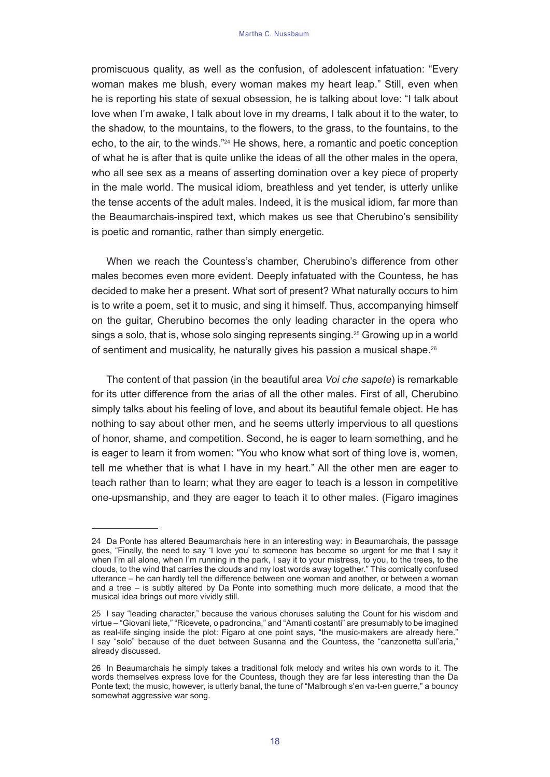promiscuous quality, as well as the confusion, of adolescent infatuation: "Every woman makes me blush, every woman makes my heart leap." Still, even when he is reporting his state of sexual obsession, he is talking about love: "I talk about love when I'm awake, I talk about love in my dreams, I talk about it to the water, to the shadow, to the mountains, to the flowers, to the grass, to the fountains, to the echo, to the air, to the winds."24 He shows, here, a romantic and poetic conception of what he is after that is quite unlike the ideas of all the other males in the opera, who all see sex as a means of asserting domination over a key piece of property in the male world. The musical idiom, breathless and yet tender, is utterly unlike the tense accents of the adult males. Indeed, it is the musical idiom, far more than the Beaumarchais-inspired text, which makes us see that Cherubino's sensibility is poetic and romantic, rather than simply energetic.

When we reach the Countess's chamber, Cherubino's difference from other males becomes even more evident. Deeply infatuated with the Countess, he has decided to make her a present. What sort of present? What naturally occurs to him is to write a poem, set it to music, and sing it himself. Thus, accompanying himself on the guitar, Cherubino becomes the only leading character in the opera who sings a solo, that is, whose solo singing represents singing.25 Growing up in a world of sentiment and musicality, he naturally gives his passion a musical shape.26

The content of that passion (in the beautiful area *Voi che sapete*) is remarkable for its utter difference from the arias of all the other males. First of all, Cherubino simply talks about his feeling of love, and about its beautiful female object. He has nothing to say about other men, and he seems utterly impervious to all questions of honor, shame, and competition. Second, he is eager to learn something, and he is eager to learn it from women: "You who know what sort of thing love is, women, tell me whether that is what I have in my heart." All the other men are eager to teach rather than to learn; what they are eager to teach is a lesson in competitive one-upsmanship, and they are eager to teach it to other males. (Figaro imagines

<sup>24</sup> Da Ponte has altered Beaumarchais here in an interesting way: in Beaumarchais, the passage goes, "Finally, the need to say 'I love you' to someone has become so urgent for me that I say it when I'm all alone, when I'm running in the park, I say it to your mistress, to you, to the trees, to the clouds, to the wind that carries the clouds and my lost words away together." This comically confused utterance – he can hardly tell the difference between one woman and another, or between a woman and a tree – is subtly altered by Da Ponte into something much more delicate, a mood that the musical idea brings out more vividly still.

<sup>25</sup> I say "leading character," because the various choruses saluting the Count for his wisdom and virtue – "Giovani liete," "Ricevete, o padroncina," and "Amanti costanti" are presumably to be imagined as real-life singing inside the plot: Figaro at one point says, "the music-makers are already here." I say "solo" because of the duet between Susanna and the Countess, the "canzonetta sull'aria," already discussed.

<sup>26</sup> In Beaumarchais he simply takes a traditional folk melody and writes his own words to it. The words themselves express love for the Countess, though they are far less interesting than the Da Ponte text; the music, however, is utterly banal, the tune of "Malbrough s'en va-t-en guerre," a bouncy somewhat aggressive war song.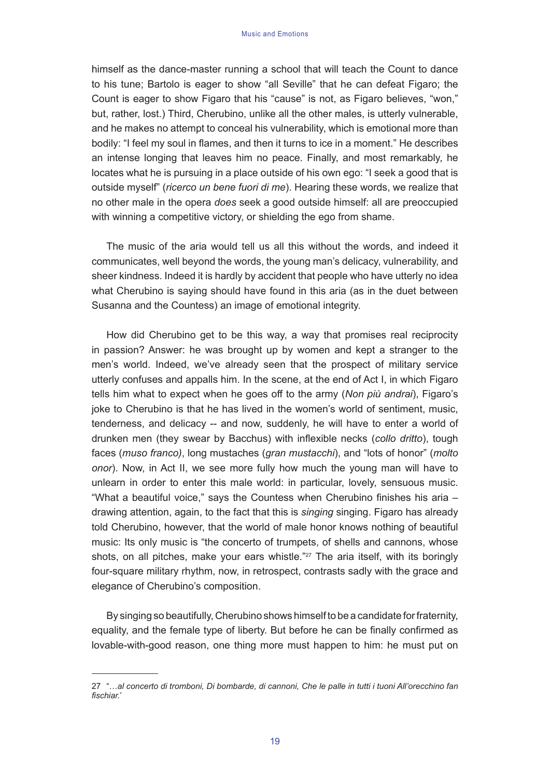himself as the dance-master running a school that will teach the Count to dance to his tune; Bartolo is eager to show "all Seville" that he can defeat Figaro; the Count is eager to show Figaro that his "cause" is not, as Figaro believes, "won," but, rather, lost.) Third, Cherubino, unlike all the other males, is utterly vulnerable, and he makes no attempt to conceal his vulnerability, which is emotional more than bodily: "I feel my soul in flames, and then it turns to ice in a moment." He describes an intense longing that leaves him no peace. Finally, and most remarkably, he locates what he is pursuing in a place outside of his own ego: "I seek a good that is outside myself" (*ricerco un bene fuori di me*). Hearing these words, we realize that no other male in the opera *does* seek a good outside himself: all are preoccupied with winning a competitive victory, or shielding the ego from shame.

The music of the aria would tell us all this without the words, and indeed it communicates, well beyond the words, the young man's delicacy, vulnerability, and sheer kindness. Indeed it is hardly by accident that people who have utterly no idea what Cherubino is saying should have found in this aria (as in the duet between Susanna and the Countess) an image of emotional integrity.

How did Cherubino get to be this way, a way that promises real reciprocity in passion? Answer: he was brought up by women and kept a stranger to the men's world. Indeed, we've already seen that the prospect of military service utterly confuses and appalls him. In the scene, at the end of Act I, in which Figaro tells him what to expect when he goes off to the army (*Non più andrai*), Figaro's joke to Cherubino is that he has lived in the women's world of sentiment, music, tenderness, and delicacy -- and now, suddenly, he will have to enter a world of drunken men (they swear by Bacchus) with inflexible necks (*collo dritto*), tough faces (*muso franco)*, long mustaches (*gran mustacchi*), and "lots of honor" (*molto onor*). Now, in Act II, we see more fully how much the young man will have to unlearn in order to enter this male world: in particular, lovely, sensuous music. "What a beautiful voice," says the Countess when Cherubino finishes his aria – drawing attention, again, to the fact that this is *singing* singing. Figaro has already told Cherubino, however, that the world of male honor knows nothing of beautiful music: Its only music is "the concerto of trumpets, of shells and cannons, whose shots, on all pitches, make your ears whistle."<sup>27</sup> The aria itself, with its boringly four-square military rhythm, now, in retrospect, contrasts sadly with the grace and elegance of Cherubino's composition.

By singing so beautifully, Cherubino shows himself to be a candidate for fraternity, equality, and the female type of liberty. But before he can be finally confirmed as lovable-with-good reason, one thing more must happen to him: he must put on

<sup>27</sup> "…*al concerto di tromboni, Di bombarde, di cannoni, Che le palle in tutti i tuoni All'orecchino fan fischiar.*'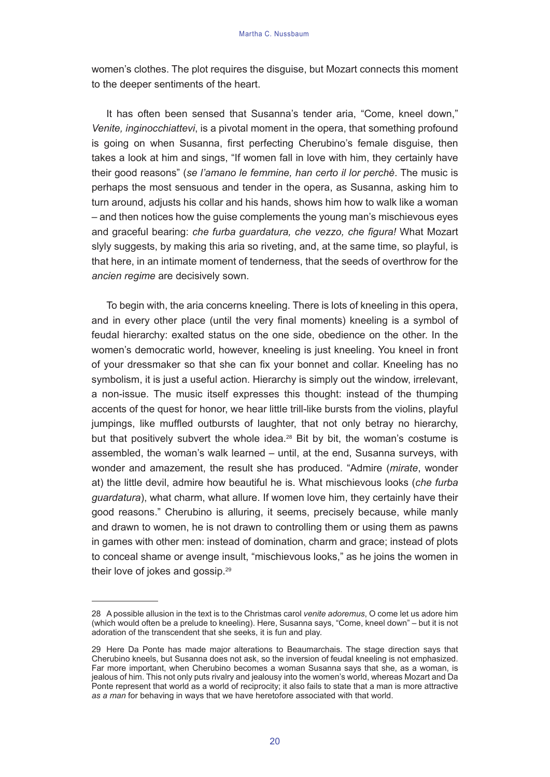women's clothes. The plot requires the disguise, but Mozart connects this moment to the deeper sentiments of the heart.

It has often been sensed that Susanna's tender aria, "Come, kneel down," *Venite, inginocchiattevi*, is a pivotal moment in the opera, that something profound is going on when Susanna, first perfecting Cherubino's female disguise, then takes a look at him and sings, "If women fall in love with him, they certainly have their good reasons" (*se l'amano le femmine, han certo il lor perchè*. The music is perhaps the most sensuous and tender in the opera, as Susanna, asking him to turn around, adjusts his collar and his hands, shows him how to walk like a woman – and then notices how the guise complements the young man's mischievous eyes and graceful bearing: *che furba guardatura, che vezzo, che figura!* What Mozart slyly suggests, by making this aria so riveting, and, at the same time, so playful, is that here, in an intimate moment of tenderness, that the seeds of overthrow for the *ancien regime* are decisively sown.

To begin with, the aria concerns kneeling. There is lots of kneeling in this opera, and in every other place (until the very final moments) kneeling is a symbol of feudal hierarchy: exalted status on the one side, obedience on the other. In the women's democratic world, however, kneeling is just kneeling. You kneel in front of your dressmaker so that she can fix your bonnet and collar. Kneeling has no symbolism, it is just a useful action. Hierarchy is simply out the window, irrelevant, a non-issue. The music itself expresses this thought: instead of the thumping accents of the quest for honor, we hear little trill-like bursts from the violins, playful jumpings, like muffled outbursts of laughter, that not only betray no hierarchy, but that positively subvert the whole idea.<sup>28</sup> Bit by bit, the woman's costume is assembled, the woman's walk learned – until, at the end, Susanna surveys, with wonder and amazement, the result she has produced. "Admire (*mirate*, wonder at) the little devil, admire how beautiful he is. What mischievous looks (*che furba guardatura*), what charm, what allure. If women love him, they certainly have their good reasons." Cherubino is alluring, it seems, precisely because, while manly and drawn to women, he is not drawn to controlling them or using them as pawns in games with other men: instead of domination, charm and grace; instead of plots to conceal shame or avenge insult, "mischievous looks," as he joins the women in their love of jokes and gossip.29

<sup>28</sup> A possible allusion in the text is to the Christmas carol *venite adoremus*, O come let us adore him (which would often be a prelude to kneeling). Here, Susanna says, "Come, kneel down" – but it is not adoration of the transcendent that she seeks, it is fun and play.

<sup>29</sup> Here Da Ponte has made major alterations to Beaumarchais. The stage direction says that Cherubino kneels, but Susanna does not ask, so the inversion of feudal kneeling is not emphasized. Far more important, when Cherubino becomes a woman Susanna says that she, as a woman, is jealous of him. This not only puts rivalry and jealousy into the women's world, whereas Mozart and Da Ponte represent that world as a world of reciprocity; it also fails to state that a man is more attractive *as a man* for behaving in ways that we have heretofore associated with that world.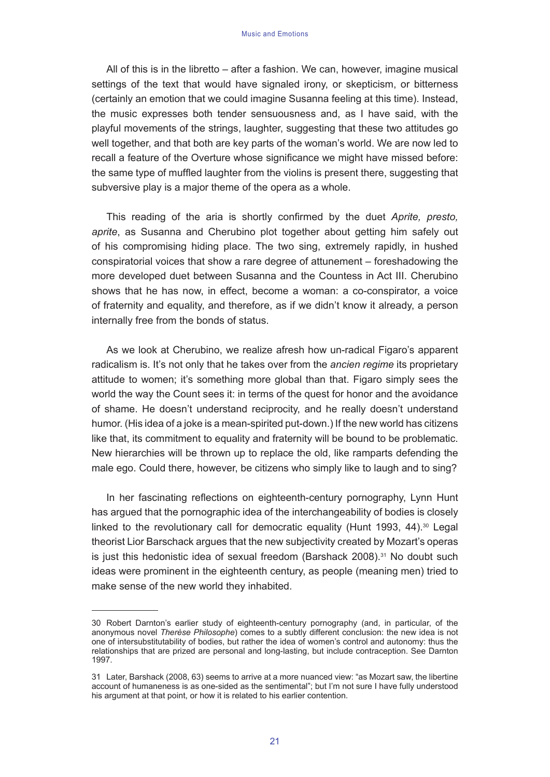All of this is in the libretto – after a fashion. We can, however, imagine musical settings of the text that would have signaled irony, or skepticism, or bitterness (certainly an emotion that we could imagine Susanna feeling at this time). Instead, the music expresses both tender sensuousness and, as I have said, with the playful movements of the strings, laughter, suggesting that these two attitudes go well together, and that both are key parts of the woman's world. We are now led to recall a feature of the Overture whose significance we might have missed before: the same type of muffled laughter from the violins is present there, suggesting that subversive play is a major theme of the opera as a whole.

This reading of the aria is shortly confirmed by the duet *Aprite, presto, aprite*, as Susanna and Cherubino plot together about getting him safely out of his compromising hiding place. The two sing, extremely rapidly, in hushed conspiratorial voices that show a rare degree of attunement – foreshadowing the more developed duet between Susanna and the Countess in Act III. Cherubino shows that he has now, in effect, become a woman: a co-conspirator, a voice of fraternity and equality, and therefore, as if we didn't know it already, a person internally free from the bonds of status.

As we look at Cherubino, we realize afresh how un-radical Figaro's apparent radicalism is. It's not only that he takes over from the *ancien regime* its proprietary attitude to women; it's something more global than that. Figaro simply sees the world the way the Count sees it: in terms of the quest for honor and the avoidance of shame. He doesn't understand reciprocity, and he really doesn't understand humor. (His idea of a joke is a mean-spirited put-down.) If the new world has citizens like that, its commitment to equality and fraternity will be bound to be problematic. New hierarchies will be thrown up to replace the old, like ramparts defending the male ego. Could there, however, be citizens who simply like to laugh and to sing?

In her fascinating reflections on eighteenth-century pornography, Lynn Hunt has argued that the pornographic idea of the interchangeability of bodies is closely linked to the revolutionary call for democratic equality (Hunt 1993, 44). $30$  Legal theorist Lior Barschack argues that the new subjectivity created by Mozart's operas is just this hedonistic idea of sexual freedom (Barshack  $2008$ ).<sup>31</sup> No doubt such ideas were prominent in the eighteenth century, as people (meaning men) tried to make sense of the new world they inhabited.

<sup>30</sup> Robert Darnton's earlier study of eighteenth-century pornography (and, in particular, of the anonymous novel *Therèse Philosophe*) comes to a subtly different conclusion: the new idea is not one of intersubstitutability of bodies, but rather the idea of women's control and autonomy: thus the relationships that are prized are personal and long-lasting, but include contraception. See Darnton 1997.

<sup>31</sup> Later, Barshack (2008, 63) seems to arrive at a more nuanced view: "as Mozart saw, the libertine account of humaneness is as one-sided as the sentimental"; but I'm not sure I have fully understood his argument at that point, or how it is related to his earlier contention.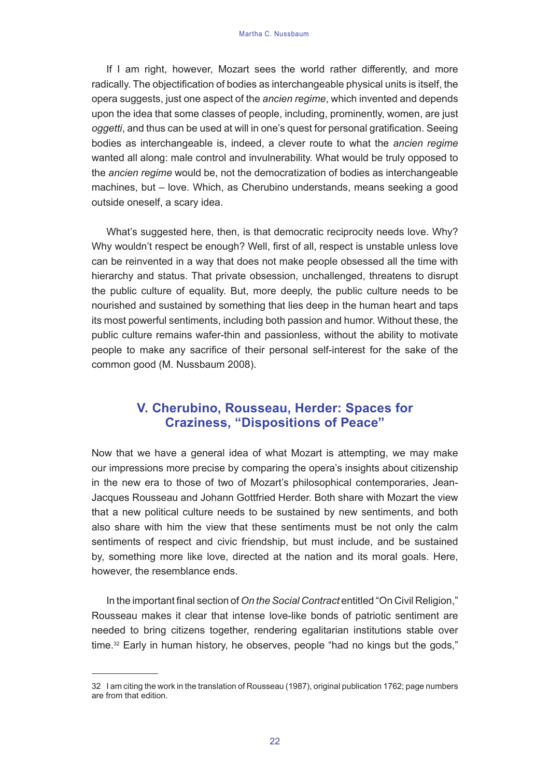#### Martha C. Nussbaum

If I am right, however, Mozart sees the world rather differently, and more radically. The objectification of bodies as interchangeable physical units is itself, the opera suggests, just one aspect of the *ancien regime*, which invented and depends upon the idea that some classes of people, including, prominently, women, are just *oggetti*, and thus can be used at will in one's quest for personal gratification. Seeing bodies as interchangeable is, indeed, a clever route to what the *ancien regime* wanted all along: male control and invulnerability. What would be truly opposed to the *ancien regime* would be, not the democratization of bodies as interchangeable machines, but – love. Which, as Cherubino understands, means seeking a good outside oneself, a scary idea.

What's suggested here, then, is that democratic reciprocity needs love. Why? Why wouldn't respect be enough? Well, first of all, respect is unstable unless love can be reinvented in a way that does not make people obsessed all the time with hierarchy and status. That private obsession, unchallenged, threatens to disrupt the public culture of equality. But, more deeply, the public culture needs to be nourished and sustained by something that lies deep in the human heart and taps its most powerful sentiments, including both passion and humor. Without these, the public culture remains wafer-thin and passionless, without the ability to motivate people to make any sacrifice of their personal self-interest for the sake of the common good (M. Nussbaum 2008).

#### **V. Cherubino, Rousseau, Herder: Spaces for Craziness, "Dispositions of Peace"**

Now that we have a general idea of what Mozart is attempting, we may make our impressions more precise by comparing the opera's insights about citizenship in the new era to those of two of Mozart's philosophical contemporaries, Jean-Jacques Rousseau and Johann Gottfried Herder. Both share with Mozart the view that a new political culture needs to be sustained by new sentiments, and both also share with him the view that these sentiments must be not only the calm sentiments of respect and civic friendship, but must include, and be sustained by, something more like love, directed at the nation and its moral goals. Here, however, the resemblance ends.

In the important final section of *On the Social Contract* entitled "On Civil Religion," Rousseau makes it clear that intense love-like bonds of patriotic sentiment are needed to bring citizens together, rendering egalitarian institutions stable over time.<sup>32</sup> Early in human history, he observes, people "had no kings but the gods,"

<sup>32</sup> I am citing the work in the translation of Rousseau (1987), original publication 1762; page numbers are from that edition.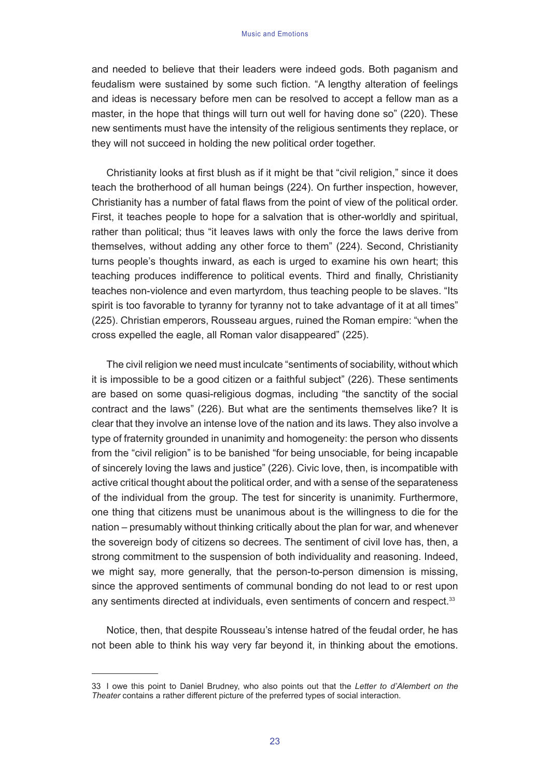and needed to believe that their leaders were indeed gods. Both paganism and feudalism were sustained by some such fiction. "A lengthy alteration of feelings and ideas is necessary before men can be resolved to accept a fellow man as a master, in the hope that things will turn out well for having done so" (220). These new sentiments must have the intensity of the religious sentiments they replace, or they will not succeed in holding the new political order together.

Christianity looks at first blush as if it might be that "civil religion," since it does teach the brotherhood of all human beings (224). On further inspection, however, Christianity has a number of fatal flaws from the point of view of the political order. First, it teaches people to hope for a salvation that is other-worldly and spiritual, rather than political; thus "it leaves laws with only the force the laws derive from themselves, without adding any other force to them" (224). Second, Christianity turns people's thoughts inward, as each is urged to examine his own heart; this teaching produces indifference to political events. Third and finally, Christianity teaches non-violence and even martyrdom, thus teaching people to be slaves. "Its spirit is too favorable to tyranny for tyranny not to take advantage of it at all times" (225). Christian emperors, Rousseau argues, ruined the Roman empire: "when the cross expelled the eagle, all Roman valor disappeared" (225).

The civil religion we need must inculcate "sentiments of sociability, without which it is impossible to be a good citizen or a faithful subject" (226). These sentiments are based on some quasi-religious dogmas, including "the sanctity of the social contract and the laws" (226). But what are the sentiments themselves like? It is clear that they involve an intense love of the nation and its laws. They also involve a type of fraternity grounded in unanimity and homogeneity: the person who dissents from the "civil religion" is to be banished "for being unsociable, for being incapable of sincerely loving the laws and justice" (226). Civic love, then, is incompatible with active critical thought about the political order, and with a sense of the separateness of the individual from the group. The test for sincerity is unanimity. Furthermore, one thing that citizens must be unanimous about is the willingness to die for the nation – presumably without thinking critically about the plan for war, and whenever the sovereign body of citizens so decrees. The sentiment of civil love has, then, a strong commitment to the suspension of both individuality and reasoning. Indeed, we might say, more generally, that the person-to-person dimension is missing, since the approved sentiments of communal bonding do not lead to or rest upon any sentiments directed at individuals, even sentiments of concern and respect.<sup>33</sup>

Notice, then, that despite Rousseau's intense hatred of the feudal order, he has not been able to think his way very far beyond it, in thinking about the emotions.

<sup>33</sup> I owe this point to Daniel Brudney, who also points out that the *Letter to d'Alembert on the Theater* contains a rather different picture of the preferred types of social interaction.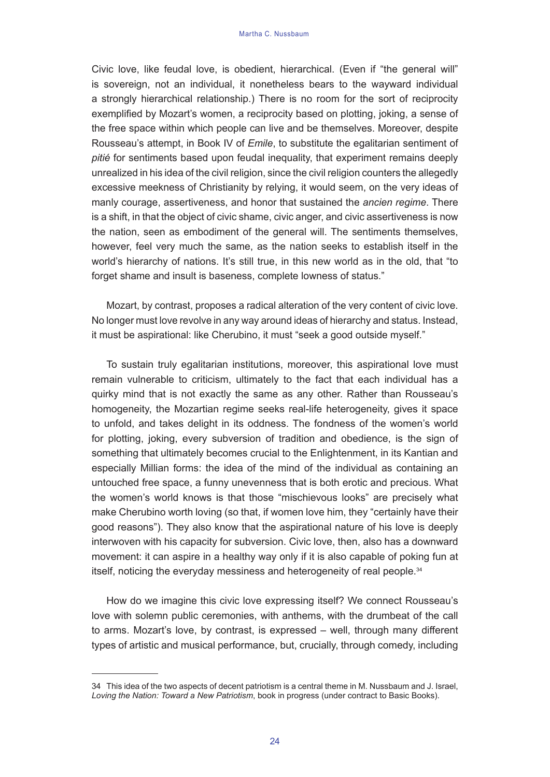Civic love, like feudal love, is obedient, hierarchical. (Even if "the general will" is sovereign, not an individual, it nonetheless bears to the wayward individual a strongly hierarchical relationship.) There is no room for the sort of reciprocity exemplified by Mozart's women, a reciprocity based on plotting, joking, a sense of the free space within which people can live and be themselves. Moreover, despite Rousseau's attempt, in Book IV of *Emile*, to substitute the egalitarian sentiment of *pitié* for sentiments based upon feudal inequality, that experiment remains deeply unrealized in his idea of the civil religion, since the civil religion counters the allegedly excessive meekness of Christianity by relying, it would seem, on the very ideas of manly courage, assertiveness, and honor that sustained the *ancien regime*. There is a shift, in that the object of civic shame, civic anger, and civic assertiveness is now the nation, seen as embodiment of the general will. The sentiments themselves, however, feel very much the same, as the nation seeks to establish itself in the world's hierarchy of nations. It's still true, in this new world as in the old, that "to forget shame and insult is baseness, complete lowness of status."

Mozart, by contrast, proposes a radical alteration of the very content of civic love. No longer must love revolve in any way around ideas of hierarchy and status. Instead, it must be aspirational: like Cherubino, it must "seek a good outside myself."

To sustain truly egalitarian institutions, moreover, this aspirational love must remain vulnerable to criticism, ultimately to the fact that each individual has a quirky mind that is not exactly the same as any other. Rather than Rousseau's homogeneity, the Mozartian regime seeks real-life heterogeneity, gives it space to unfold, and takes delight in its oddness. The fondness of the women's world for plotting, joking, every subversion of tradition and obedience, is the sign of something that ultimately becomes crucial to the Enlightenment, in its Kantian and especially Millian forms: the idea of the mind of the individual as containing an untouched free space, a funny unevenness that is both erotic and precious. What the women's world knows is that those "mischievous looks" are precisely what make Cherubino worth loving (so that, if women love him, they "certainly have their good reasons"). They also know that the aspirational nature of his love is deeply interwoven with his capacity for subversion. Civic love, then, also has a downward movement: it can aspire in a healthy way only if it is also capable of poking fun at itself, noticing the everyday messiness and heterogeneity of real people.34

How do we imagine this civic love expressing itself? We connect Rousseau's love with solemn public ceremonies, with anthems, with the drumbeat of the call to arms. Mozart's love, by contrast, is expressed – well, through many different types of artistic and musical performance, but, crucially, through comedy, including

<sup>34</sup> This idea of the two aspects of decent patriotism is a central theme in M. Nussbaum and J. Israel, *Loving the Nation: Toward a New Patriotism*, book in progress (under contract to Basic Books).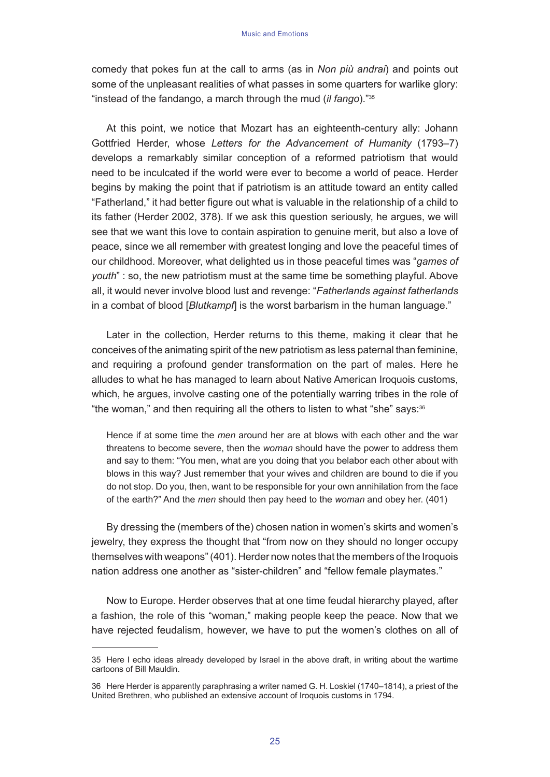comedy that pokes fun at the call to arms (as in *Non più andrai*) and points out some of the unpleasant realities of what passes in some quarters for warlike glory: "instead of the fandango, a march through the mud (*il fango*)."35

At this point, we notice that Mozart has an eighteenth-century ally: Johann Gottfried Herder, whose *Letters for the Advancement of Humanity* (1793–7) develops a remarkably similar conception of a reformed patriotism that would need to be inculcated if the world were ever to become a world of peace. Herder begins by making the point that if patriotism is an attitude toward an entity called "Fatherland," it had better figure out what is valuable in the relationship of a child to its father (Herder 2002, 378). If we ask this question seriously, he argues, we will see that we want this love to contain aspiration to genuine merit, but also a love of peace, since we all remember with greatest longing and love the peaceful times of our childhood. Moreover, what delighted us in those peaceful times was "*games of youth*" : so, the new patriotism must at the same time be something playful. Above all, it would never involve blood lust and revenge: "*Fatherlands against fatherlands* in a combat of blood [*Blutkampf*] is the worst barbarism in the human language."

Later in the collection, Herder returns to this theme, making it clear that he conceives of the animating spirit of the new patriotism as less paternal than feminine, and requiring a profound gender transformation on the part of males. Here he alludes to what he has managed to learn about Native American Iroquois customs, which, he argues, involve casting one of the potentially warring tribes in the role of "the woman," and then requiring all the others to listen to what "she" says:36

Hence if at some time the *men* around her are at blows with each other and the war threatens to become severe, then the *woman* should have the power to address them and say to them: "You men, what are you doing that you belabor each other about with blows in this way? Just remember that your wives and children are bound to die if you do not stop. Do you, then, want to be responsible for your own annihilation from the face of the earth?" And the *men* should then pay heed to the *woman* and obey her. (401)

By dressing the (members of the) chosen nation in women's skirts and women's jewelry, they express the thought that "from now on they should no longer occupy themselves with weapons" (401). Herder now notes that the members of the Iroquois nation address one another as "sister-children" and "fellow female playmates."

Now to Europe. Herder observes that at one time feudal hierarchy played, after a fashion, the role of this "woman," making people keep the peace. Now that we have rejected feudalism, however, we have to put the women's clothes on all of

<sup>35</sup> Here I echo ideas already developed by Israel in the above draft, in writing about the wartime cartoons of Bill Mauldin.

<sup>36</sup> Here Herder is apparently paraphrasing a writer named G. H. Loskiel (1740–1814), a priest of the United Brethren, who published an extensive account of Iroquois customs in 1794.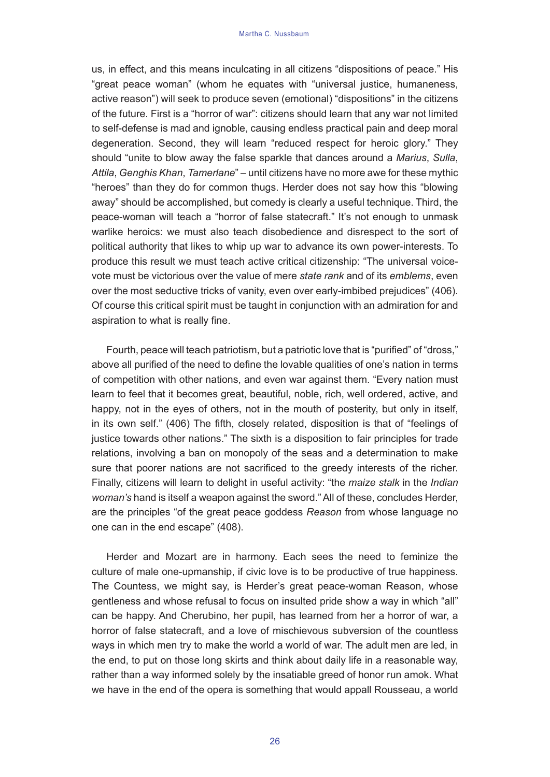us, in effect, and this means inculcating in all citizens "dispositions of peace." His "great peace woman" (whom he equates with "universal justice, humaneness, active reason") will seek to produce seven (emotional) "dispositions" in the citizens of the future. First is a "horror of war": citizens should learn that any war not limited to self-defense is mad and ignoble, causing endless practical pain and deep moral degeneration. Second, they will learn "reduced respect for heroic glory." They should "unite to blow away the false sparkle that dances around a *Marius*, *Sulla*, *Attila*, *Genghis Khan*, *Tamerlane*" – until citizens have no more awe for these mythic "heroes" than they do for common thugs. Herder does not say how this "blowing away" should be accomplished, but comedy is clearly a useful technique. Third, the peace-woman will teach a "horror of false statecraft." It's not enough to unmask warlike heroics: we must also teach disobedience and disrespect to the sort of political authority that likes to whip up war to advance its own power-interests. To produce this result we must teach active critical citizenship: "The universal voicevote must be victorious over the value of mere *state rank* and of its *emblems*, even over the most seductive tricks of vanity, even over early-imbibed prejudices" (406). Of course this critical spirit must be taught in conjunction with an admiration for and aspiration to what is really fine.

Fourth, peace will teach patriotism, but a patriotic love that is "purified" of "dross," above all purified of the need to define the lovable qualities of one's nation in terms of competition with other nations, and even war against them. "Every nation must learn to feel that it becomes great, beautiful, noble, rich, well ordered, active, and happy, not in the eyes of others, not in the mouth of posterity, but only in itself, in its own self." (406) The fifth, closely related, disposition is that of "feelings of justice towards other nations." The sixth is a disposition to fair principles for trade relations, involving a ban on monopoly of the seas and a determination to make sure that poorer nations are not sacrificed to the greedy interests of the richer. Finally, citizens will learn to delight in useful activity: "the *maize stalk* in the *Indian woman's* hand is itself a weapon against the sword." All of these, concludes Herder, are the principles "of the great peace goddess *Reason* from whose language no one can in the end escape" (408).

Herder and Mozart are in harmony. Each sees the need to feminize the culture of male one-upmanship, if civic love is to be productive of true happiness. The Countess, we might say, is Herder's great peace-woman Reason, whose gentleness and whose refusal to focus on insulted pride show a way in which "all" can be happy. And Cherubino, her pupil, has learned from her a horror of war, a horror of false statecraft, and a love of mischievous subversion of the countless ways in which men try to make the world a world of war. The adult men are led, in the end, to put on those long skirts and think about daily life in a reasonable way, rather than a way informed solely by the insatiable greed of honor run amok. What we have in the end of the opera is something that would appall Rousseau, a world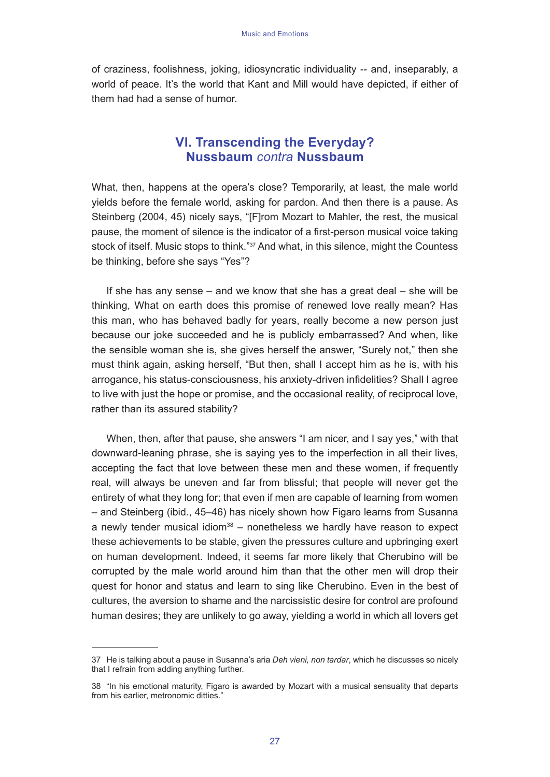of craziness, foolishness, joking, idiosyncratic individuality -- and, inseparably, a world of peace. It's the world that Kant and Mill would have depicted, if either of them had had a sense of humor.

#### **VI. Transcending the Everyday? Nussbaum** *contra* **Nussbaum**

What, then, happens at the opera's close? Temporarily, at least, the male world yields before the female world, asking for pardon. And then there is a pause. As Steinberg (2004, 45) nicely says, "[F]rom Mozart to Mahler, the rest, the musical pause, the moment of silence is the indicator of a first-person musical voice taking stock of itself. Music stops to think."<sup>37</sup> And what, in this silence, might the Countess be thinking, before she says "Yes"?

If she has any sense  $-$  and we know that she has a great deal  $-$  she will be thinking, What on earth does this promise of renewed love really mean? Has this man, who has behaved badly for years, really become a new person just because our joke succeeded and he is publicly embarrassed? And when, like the sensible woman she is, she gives herself the answer, "Surely not," then she must think again, asking herself, "But then, shall I accept him as he is, with his arrogance, his status-consciousness, his anxiety-driven infidelities? Shall I agree to live with just the hope or promise, and the occasional reality, of reciprocal love, rather than its assured stability?

When, then, after that pause, she answers "I am nicer, and I say yes," with that downward-leaning phrase, she is saying yes to the imperfection in all their lives, accepting the fact that love between these men and these women, if frequently real, will always be uneven and far from blissful; that people will never get the entirety of what they long for; that even if men are capable of learning from women – and Steinberg (ibid., 45–46) has nicely shown how Figaro learns from Susanna a newly tender musical idiom<sup>38</sup> – nonetheless we hardly have reason to expect these achievements to be stable, given the pressures culture and upbringing exert on human development. Indeed, it seems far more likely that Cherubino will be corrupted by the male world around him than that the other men will drop their quest for honor and status and learn to sing like Cherubino. Even in the best of cultures, the aversion to shame and the narcissistic desire for control are profound human desires; they are unlikely to go away, yielding a world in which all lovers get

<sup>37</sup> He is talking about a pause in Susanna's aria *Deh vieni, non tardar*, which he discusses so nicely that I refrain from adding anything further.

<sup>38</sup> "In his emotional maturity, Figaro is awarded by Mozart with a musical sensuality that departs from his earlier, metronomic ditties."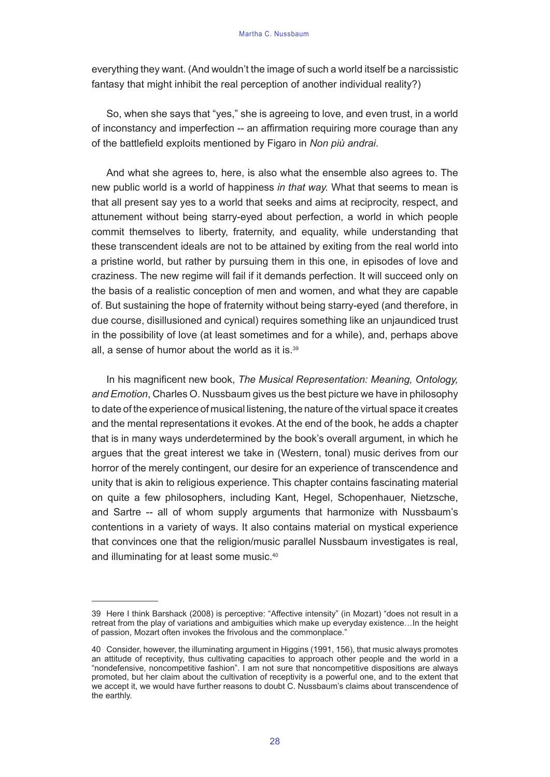everything they want. (And wouldn't the image of such a world itself be a narcissistic fantasy that might inhibit the real perception of another individual reality?)

So, when she says that "yes," she is agreeing to love, and even trust, in a world of inconstancy and imperfection -- an affirmation requiring more courage than any of the battlefield exploits mentioned by Figaro in *Non più andrai*.

And what she agrees to, here, is also what the ensemble also agrees to. The new public world is a world of happiness *in that way.* What that seems to mean is that all present say yes to a world that seeks and aims at reciprocity, respect, and attunement without being starry-eyed about perfection, a world in which people commit themselves to liberty, fraternity, and equality, while understanding that these transcendent ideals are not to be attained by exiting from the real world into a pristine world, but rather by pursuing them in this one, in episodes of love and craziness. The new regime will fail if it demands perfection. It will succeed only on the basis of a realistic conception of men and women, and what they are capable of. But sustaining the hope of fraternity without being starry-eyed (and therefore, in due course, disillusioned and cynical) requires something like an unjaundiced trust in the possibility of love (at least sometimes and for a while), and, perhaps above all, a sense of humor about the world as it is.<sup>39</sup>

In his magnificent new book, *The Musical Representation: Meaning, Ontology, and Emotion*, Charles O. Nussbaum gives us the best picture we have in philosophy to date of the experience of musical listening, the nature of the virtual space it creates and the mental representations it evokes. At the end of the book, he adds a chapter that is in many ways underdetermined by the book's overall argument, in which he argues that the great interest we take in (Western, tonal) music derives from our horror of the merely contingent, our desire for an experience of transcendence and unity that is akin to religious experience. This chapter contains fascinating material on quite a few philosophers, including Kant, Hegel, Schopenhauer, Nietzsche, and Sartre -- all of whom supply arguments that harmonize with Nussbaum's contentions in a variety of ways. It also contains material on mystical experience that convinces one that the religion/music parallel Nussbaum investigates is real, and illuminating for at least some music.<sup>40</sup>

<sup>39</sup> Here I think Barshack (2008) is perceptive: "Affective intensity" (in Mozart) "does not result in a retreat from the play of variations and ambiguities which make up everyday existence…In the height of passion, Mozart often invokes the frivolous and the commonplace.'

<sup>40</sup> Consider, however, the illuminating argument in Higgins (1991, 156), that music always promotes an attitude of receptivity, thus cultivating capacities to approach other people and the world in a "nondefensive, noncompetitive fashion". I am not sure that noncompetitive dispositions are always promoted, but her claim about the cultivation of receptivity is a powerful one, and to the extent that we accept it, we would have further reasons to doubt C. Nussbaum's claims about transcendence of the earthly.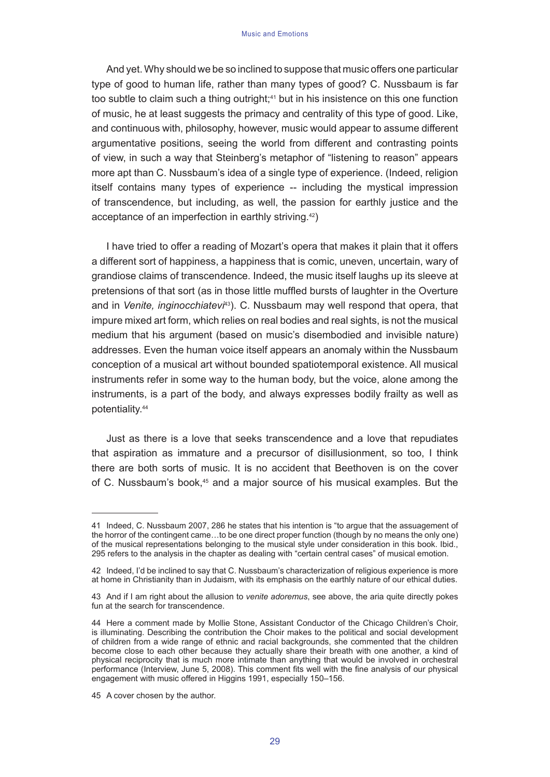And yet. Why should we be so inclined to suppose that music offers one particular type of good to human life, rather than many types of good? C. Nussbaum is far too subtle to claim such a thing outright;<sup>41</sup> but in his insistence on this one function of music, he at least suggests the primacy and centrality of this type of good. Like, and continuous with, philosophy, however, music would appear to assume different argumentative positions, seeing the world from different and contrasting points of view, in such a way that Steinberg's metaphor of "listening to reason" appears more apt than C. Nussbaum's idea of a single type of experience. (Indeed, religion itself contains many types of experience -- including the mystical impression of transcendence, but including, as well, the passion for earthly justice and the acceptance of an imperfection in earthly striving.42)

I have tried to offer a reading of Mozart's opera that makes it plain that it offers a different sort of happiness, a happiness that is comic, uneven, uncertain, wary of grandiose claims of transcendence. Indeed, the music itself laughs up its sleeve at pretensions of that sort (as in those little muffled bursts of laughter in the Overture and in *Venite, inginocchiatevi*43). C. Nussbaum may well respond that opera, that impure mixed art form, which relies on real bodies and real sights, is not the musical medium that his argument (based on music's disembodied and invisible nature) addresses. Even the human voice itself appears an anomaly within the Nussbaum conception of a musical art without bounded spatiotemporal existence. All musical instruments refer in some way to the human body, but the voice, alone among the instruments, is a part of the body, and always expresses bodily frailty as well as potentiality.44

Just as there is a love that seeks transcendence and a love that repudiates that aspiration as immature and a precursor of disillusionment, so too, I think there are both sorts of music. It is no accident that Beethoven is on the cover of C. Nussbaum's book,<sup>45</sup> and a major source of his musical examples. But the

<sup>41</sup> Indeed, C. Nussbaum 2007, 286 he states that his intention is "to argue that the assuagement of the horror of the contingent came…to be one direct proper function (though by no means the only one) of the musical representations belonging to the musical style under consideration in this book. Ibid., 295 refers to the analysis in the chapter as dealing with "certain central cases" of musical emotion.

<sup>42</sup> Indeed, I'd be inclined to say that C. Nussbaum's characterization of religious experience is more at home in Christianity than in Judaism, with its emphasis on the earthly nature of our ethical duties.

<sup>43</sup> And if I am right about the allusion to *venite adoremus*, see above, the aria quite directly pokes fun at the search for transcendence.

<sup>44</sup> Here a comment made by Mollie Stone, Assistant Conductor of the Chicago Children's Choir, is illuminating. Describing the contribution the Choir makes to the political and social development of children from a wide range of ethnic and racial backgrounds, she commented that the children become close to each other because they actually share their breath with one another, a kind of physical reciprocity that is much more intimate than anything that would be involved in orchestral performance (Interview, June 5, 2008). This comment fits well with the fine analysis of our physical engagement with music offered in Higgins 1991, especially 150–156.

<sup>45</sup> A cover chosen by the author.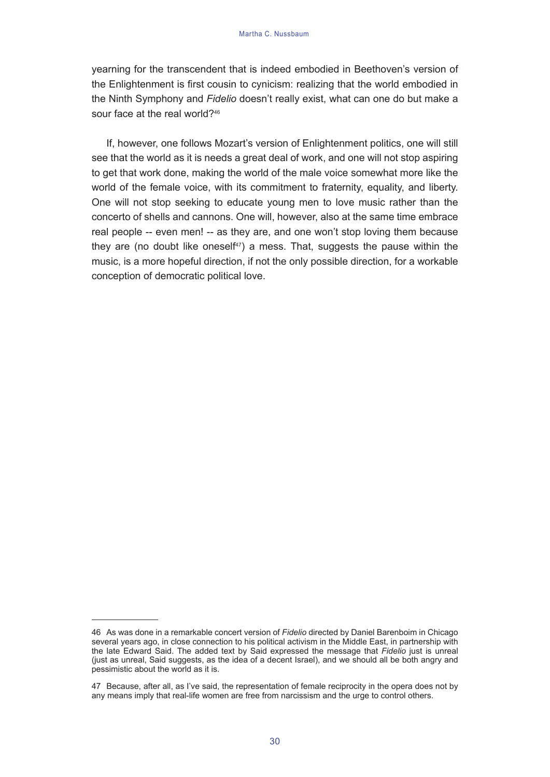yearning for the transcendent that is indeed embodied in Beethoven's version of the Enlightenment is first cousin to cynicism: realizing that the world embodied in the Ninth Symphony and *Fidelio* doesn't really exist, what can one do but make a sour face at the real world?46

If, however, one follows Mozart's version of Enlightenment politics, one will still see that the world as it is needs a great deal of work, and one will not stop aspiring to get that work done, making the world of the male voice somewhat more like the world of the female voice, with its commitment to fraternity, equality, and liberty. One will not stop seeking to educate young men to love music rather than the concerto of shells and cannons. One will, however, also at the same time embrace real people -- even men! -- as they are, and one won't stop loving them because they are (no doubt like oneself $47$ ) a mess. That, suggests the pause within the music, is a more hopeful direction, if not the only possible direction, for a workable conception of democratic political love.

<sup>46</sup> As was done in a remarkable concert version of *Fidelio* directed by Daniel Barenboim in Chicago several years ago, in close connection to his political activism in the Middle East, in partnership with the late Edward Said. The added text by Said expressed the message that *Fidelio* just is unreal (just as unreal, Said suggests, as the idea of a decent Israel), and we should all be both angry and pessimistic about the world as it is.

<sup>47</sup> Because, after all, as I've said, the representation of female reciprocity in the opera does not by any means imply that real-life women are free from narcissism and the urge to control others.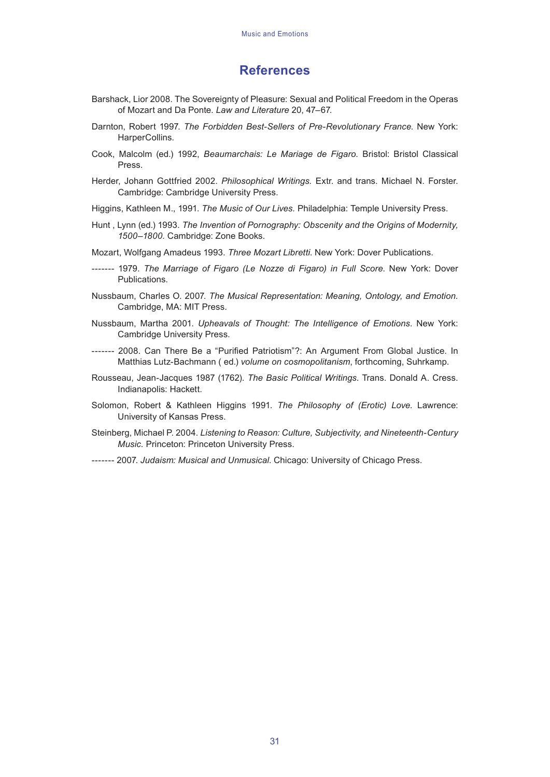#### **References**

- Barshack, Lior 2008. The Sovereignty of Pleasure: Sexual and Political Freedom in the Operas of Mozart and Da Ponte. *Law and Literature* 20, 47–67.
- Darnton, Robert 1997. *The Forbidden Best-Sellers of Pre-Revolutionary France*. New York: HarperCollins.
- Cook, Malcolm (ed.) 1992, *Beaumarchais: Le Mariage de Figaro.* Bristol: Bristol Classical Press.
- Herder, Johann Gottfried 2002. *Philosophical Writings.* Extr. and trans. Michael N. Forster. Cambridge: Cambridge University Press.
- Higgins, Kathleen M., 1991. *The Music of Our Lives.* Philadelphia: Temple University Press.
- Hunt , Lynn (ed.) 1993. *The Invention of Pornography: Obscenity and the Origins of Modernity, 1500–1800.* Cambridge: Zone Books.

Mozart, Wolfgang Amadeus 1993. *Three Mozart Libretti*. New York: Dover Publications.

- ------- 1979. *The Marriage of Figaro (Le Nozze di Figaro) in Full Score*. New York: Dover Publications.
- Nussbaum, Charles O. 2007. *The Musical Representation: Meaning, Ontology, and Emotion.* Cambridge, MA: MIT Press.
- Nussbaum, Martha 2001. *Upheavals of Thought: The Intelligence of Emotions*. New York: Cambridge University Press.
- ------- 2008. Can There Be a "Purified Patriotism"?: An Argument From Global Justice. In Matthias Lutz-Bachmann ( ed.) *volume on cosmopolitanism*, forthcoming, Suhrkamp.
- Rousseau, Jean-Jacques 1987 (1762). *The Basic Political Writings*. Trans. Donald A. Cress. Indianapolis: Hackett.
- Solomon, Robert & Kathleen Higgins 1991. *The Philosophy of (Erotic) Love*. Lawrence: University of Kansas Press.
- Steinberg, Michael P. 2004. *Listening to Reason: Culture, Subjectivity, and Nineteenth-Century Music.* Princeton: Princeton University Press.
- ------- 2007. *Judaism: Musical and Unmusical*. Chicago: University of Chicago Press.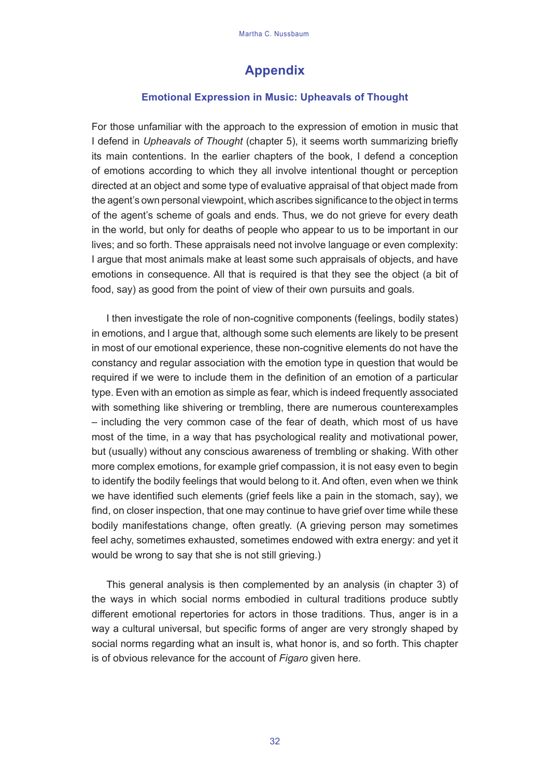## **Appendix**

#### **Emotional Expression in Music: Upheavals of Thought**

For those unfamiliar with the approach to the expression of emotion in music that I defend in *Upheavals of Thought* (chapter 5), it seems worth summarizing briefly its main contentions. In the earlier chapters of the book, I defend a conception of emotions according to which they all involve intentional thought or perception directed at an object and some type of evaluative appraisal of that object made from the agent's own personal viewpoint, which ascribes significance to the object in terms of the agent's scheme of goals and ends. Thus, we do not grieve for every death in the world, but only for deaths of people who appear to us to be important in our lives; and so forth. These appraisals need not involve language or even complexity: I argue that most animals make at least some such appraisals of objects, and have emotions in consequence. All that is required is that they see the object (a bit of food, say) as good from the point of view of their own pursuits and goals.

I then investigate the role of non-cognitive components (feelings, bodily states) in emotions, and I argue that, although some such elements are likely to be present in most of our emotional experience, these non-cognitive elements do not have the constancy and regular association with the emotion type in question that would be required if we were to include them in the definition of an emotion of a particular type. Even with an emotion as simple as fear, which is indeed frequently associated with something like shivering or trembling, there are numerous counterexamples – including the very common case of the fear of death, which most of us have most of the time, in a way that has psychological reality and motivational power, but (usually) without any conscious awareness of trembling or shaking. With other more complex emotions, for example grief compassion, it is not easy even to begin to identify the bodily feelings that would belong to it. And often, even when we think we have identified such elements (grief feels like a pain in the stomach, say), we find, on closer inspection, that one may continue to have grief over time while these bodily manifestations change, often greatly. (A grieving person may sometimes feel achy, sometimes exhausted, sometimes endowed with extra energy: and yet it would be wrong to say that she is not still grieving.)

This general analysis is then complemented by an analysis (in chapter 3) of the ways in which social norms embodied in cultural traditions produce subtly different emotional repertories for actors in those traditions. Thus, anger is in a way a cultural universal, but specific forms of anger are very strongly shaped by social norms regarding what an insult is, what honor is, and so forth. This chapter is of obvious relevance for the account of *Figaro* given here.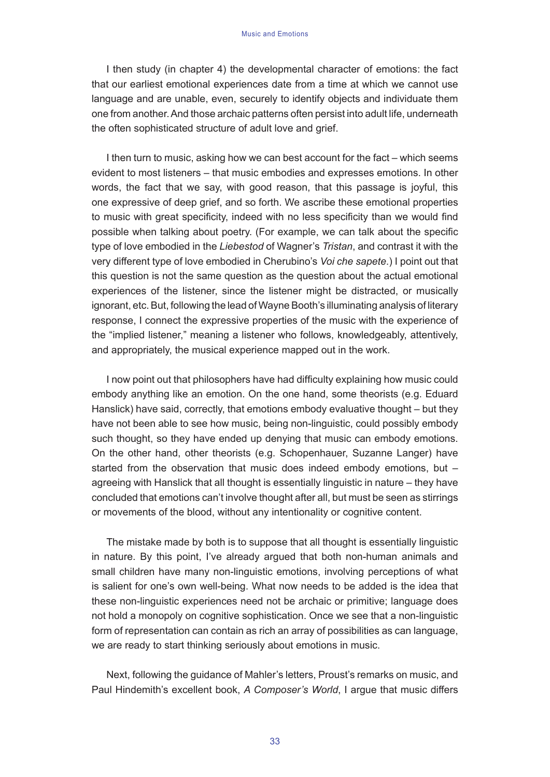I then study (in chapter 4) the developmental character of emotions: the fact that our earliest emotional experiences date from a time at which we cannot use language and are unable, even, securely to identify objects and individuate them one from another. And those archaic patterns often persist into adult life, underneath the often sophisticated structure of adult love and grief.

I then turn to music, asking how we can best account for the fact – which seems evident to most listeners – that music embodies and expresses emotions. In other words, the fact that we say, with good reason, that this passage is joyful, this one expressive of deep grief, and so forth. We ascribe these emotional properties to music with great specificity, indeed with no less specificity than we would find possible when talking about poetry. (For example, we can talk about the specific type of love embodied in the *Liebestod* of Wagner's *Tristan*, and contrast it with the very different type of love embodied in Cherubino's *Voi che sapete*.) I point out that this question is not the same question as the question about the actual emotional experiences of the listener, since the listener might be distracted, or musically ignorant, etc. But, following the lead of Wayne Booth's illuminating analysis of literary response, I connect the expressive properties of the music with the experience of the "implied listener," meaning a listener who follows, knowledgeably, attentively, and appropriately, the musical experience mapped out in the work.

I now point out that philosophers have had difficulty explaining how music could embody anything like an emotion. On the one hand, some theorists (e.g. Eduard Hanslick) have said, correctly, that emotions embody evaluative thought – but they have not been able to see how music, being non-linguistic, could possibly embody such thought, so they have ended up denying that music can embody emotions. On the other hand, other theorists (e.g. Schopenhauer, Suzanne Langer) have started from the observation that music does indeed embody emotions, but – agreeing with Hanslick that all thought is essentially linguistic in nature – they have concluded that emotions can't involve thought after all, but must be seen as stirrings or movements of the blood, without any intentionality or cognitive content.

The mistake made by both is to suppose that all thought is essentially linguistic in nature. By this point, I've already argued that both non-human animals and small children have many non-linguistic emotions, involving perceptions of what is salient for one's own well-being. What now needs to be added is the idea that these non-linguistic experiences need not be archaic or primitive; language does not hold a monopoly on cognitive sophistication. Once we see that a non-linguistic form of representation can contain as rich an array of possibilities as can language, we are ready to start thinking seriously about emotions in music.

Next, following the guidance of Mahler's letters, Proust's remarks on music, and Paul Hindemith's excellent book, *A Composer's World*, I argue that music differs